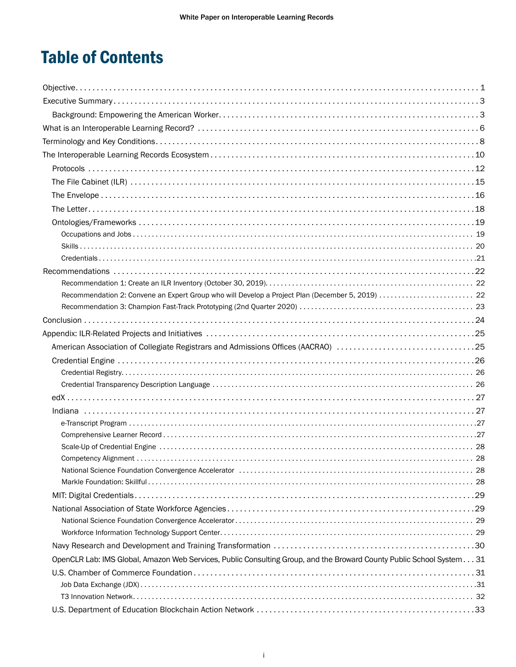# Table of Contents

| Recommendation 2: Convene an Expert Group who will Develop a Project Plan (December 5, 2019)  22                     |  |
|----------------------------------------------------------------------------------------------------------------------|--|
|                                                                                                                      |  |
|                                                                                                                      |  |
|                                                                                                                      |  |
| American Association of Collegiate Registrars and Admissions Offices (AACRAO) 25                                     |  |
|                                                                                                                      |  |
|                                                                                                                      |  |
|                                                                                                                      |  |
|                                                                                                                      |  |
|                                                                                                                      |  |
|                                                                                                                      |  |
|                                                                                                                      |  |
|                                                                                                                      |  |
| National Science Foundation Convergence Accelerator (and accuration contract and according to 28)                    |  |
|                                                                                                                      |  |
|                                                                                                                      |  |
|                                                                                                                      |  |
|                                                                                                                      |  |
|                                                                                                                      |  |
|                                                                                                                      |  |
| OpenCLR Lab: IMS Global, Amazon Web Services, Public Consulting Group, and the Broward County Public School System31 |  |
|                                                                                                                      |  |
|                                                                                                                      |  |
|                                                                                                                      |  |
|                                                                                                                      |  |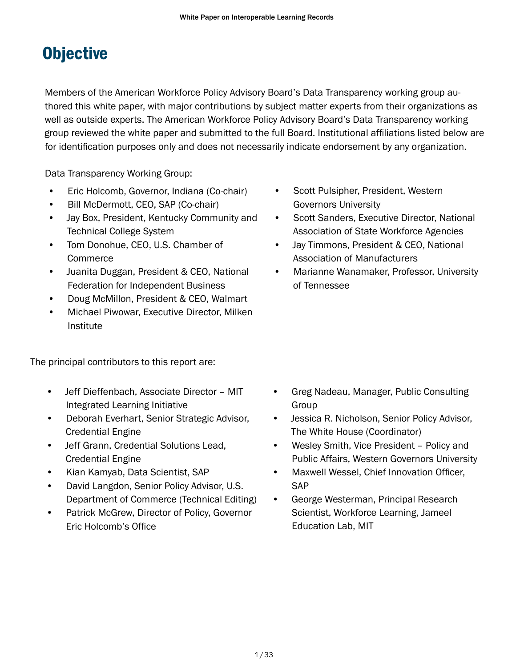# <span id="page-1-0"></span>**Objective**

Members of the American Workforce Policy Advisory Board's Data Transparency working group authored this white paper, with major contributions by subject matter experts from their organizations as well as outside experts. The American Workforce Policy Advisory Board's Data Transparency working group reviewed the white paper and submitted to the full Board. Institutional affiliations listed below are for identification purposes only and does not necessarily indicate endorsement by any organization.

Data Transparency Working Group:

- Eric Holcomb, Governor, Indiana (Co-chair)
- Bill McDermott, CEO, SAP (Co-chair)
- Jay Box, President, Kentucky Community and Technical College System
- Tom Donohue, CEO, U.S. Chamber of Commerce
- Juanita Duggan, President & CEO, National Federation for Independent Business
- Doug McMillon, President & CEO, Walmart
- Michael Piwowar, Executive Director, Milken Institute

The principal contributors to this report are:

- Jeff Dieffenbach, Associate Director MIT Integrated Learning Initiative
- Deborah Everhart, Senior Strategic Advisor, Credential Engine
- Jeff Grann, Credential Solutions Lead, Credential Engine
- Kian Kamyab, Data Scientist, SAP
- David Langdon, Senior Policy Advisor, U.S. Department of Commerce (Technical Editing)
- Patrick McGrew, Director of Policy, Governor Eric Holcomb's Office
- Scott Pulsipher, President, Western Governors University
- Scott Sanders, Executive Director, National Association of State Workforce Agencies
- Jay Timmons, President & CEO, National Association of Manufacturers
- Marianne Wanamaker, Professor, University of Tennessee

- Greg Nadeau, Manager, Public Consulting Group
- Jessica R. Nicholson, Senior Policy Advisor, The White House (Coordinator)
- Wesley Smith, Vice President Policy and Public Affairs, Western Governors University
- Maxwell Wessel, Chief Innovation Officer, **SAP**
- George Westerman, Principal Research Scientist, Workforce Learning, Jameel Education Lab, MIT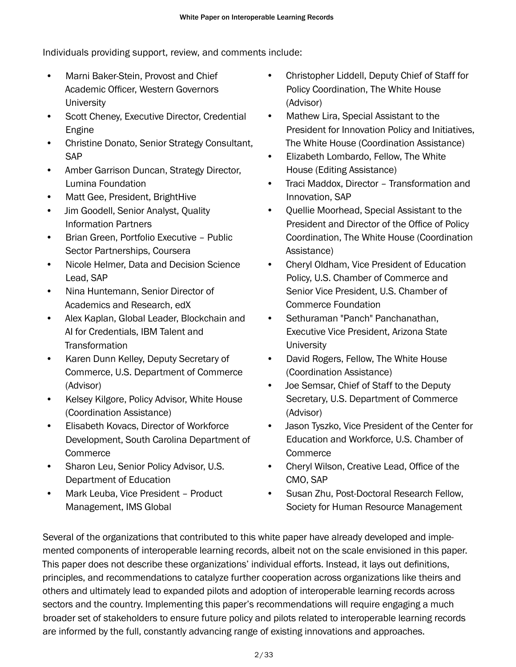Individuals providing support, review, and comments include:

- Marni Baker-Stein, Provost and Chief Academic Officer, Western Governors **University**
- Scott Cheney, Executive Director, Credential Engine
- Christine Donato, Senior Strategy Consultant, SAP
- Amber Garrison Duncan, Strategy Director, Lumina Foundation
- Matt Gee, President, BrightHive
- Jim Goodell, Senior Analyst, Quality Information Partners
- Brian Green, Portfolio Executive Public Sector Partnerships, Coursera
- Nicole Helmer, Data and Decision Science Lead, SAP
- Nina Huntemann, Senior Director of Academics and Research, edX
- Alex Kaplan, Global Leader, Blockchain and AI for Credentials, IBM Talent and **Transformation**
- Karen Dunn Kelley, Deputy Secretary of Commerce, U.S. Department of Commerce (Advisor)
- Kelsey Kilgore, Policy Advisor, White House (Coordination Assistance)
- Elisabeth Kovacs, Director of Workforce Development, South Carolina Department of **Commerce**
- Sharon Leu, Senior Policy Advisor, U.S. Department of Education
- Mark Leuba, Vice President Product Management, IMS Global
- Christopher Liddell, Deputy Chief of Staff for Policy Coordination, The White House (Advisor)
- Mathew Lira, Special Assistant to the President for Innovation Policy and Initiatives, The White House (Coordination Assistance)
- Elizabeth Lombardo, Fellow, The White House (Editing Assistance)
- Traci Maddox, Director Transformation and Innovation, SAP
- Quellie Moorhead, Special Assistant to the President and Director of the Office of Policy Coordination, The White House (Coordination Assistance)
- Cheryl Oldham, Vice President of Education Policy, U.S. Chamber of Commerce and Senior Vice President, U.S. Chamber of Commerce Foundation
- Sethuraman "Panch" Panchanathan, Executive Vice President, Arizona State **University**
- David Rogers, Fellow, The White House (Coordination Assistance)
- Joe Semsar, Chief of Staff to the Deputy Secretary, U.S. Department of Commerce (Advisor)
- Jason Tyszko, Vice President of the Center for Education and Workforce, U.S. Chamber of Commerce
- Cheryl Wilson, Creative Lead, Office of the CMO, SAP
- Susan Zhu, Post-Doctoral Research Fellow, Society for Human Resource Management

Several of the organizations that contributed to this white paper have already developed and implemented components of interoperable learning records, albeit not on the scale envisioned in this paper. This paper does not describe these organizations' individual efforts. Instead, it lays out definitions, principles, and recommendations to catalyze further cooperation across organizations like theirs and others and ultimately lead to expanded pilots and adoption of interoperable learning records across sectors and the country. Implementing this paper's recommendations will require engaging a much broader set of stakeholders to ensure future policy and pilots related to interoperable learning records are informed by the full, constantly advancing range of existing innovations and approaches.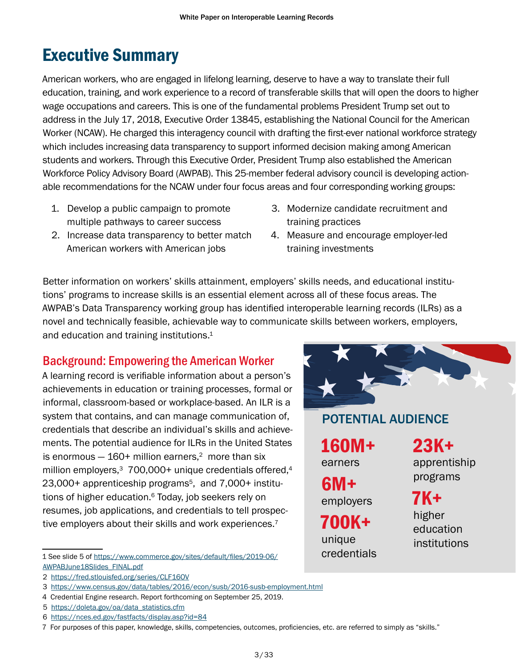# <span id="page-3-0"></span>Executive Summary

American workers, who are engaged in lifelong learning, deserve to have a way to translate their full education, training, and work experience to a record of transferable skills that will open the doors to higher wage occupations and careers. This is one of the fundamental problems President Trump set out to address in the July 17, 2018, Executive Order 13845, establishing the National Council for the American Worker (NCAW). He charged this interagency council with drafting the first-ever national workforce strategy which includes increasing data transparency to support informed decision making among American students and workers. Through this Executive Order, President Trump also established the American Workforce Policy Advisory Board (AWPAB). This 25-member federal advisory council is developing actionable recommendations for the NCAW under four focus areas and four corresponding working groups:

- 1. Develop a public campaign to promote multiple pathways to career success
- 2. Increase data transparency to better match American workers with American jobs
- 3. Modernize candidate recruitment and training practices
- 4. Measure and encourage employer-led training investments

Better information on workers' skills attainment, employers' skills needs, and educational institutions' programs to increase skills is an essential element across all of these focus areas. The AWPAB's Data Transparency working group has identified interoperable learning records (ILRs) as a novel and technically feasible, achievable way to communicate skills between workers, employers, and education and training institutions. 1

# Background: Empowering the American Worker

A learning record is verifiable information about a person's achievements in education or training processes, formal or informal, classroom-based or workplace-based. An ILR is a system that contains, and can manage communication of, credentials that describe an individual's skills and achievements. The potential audience for ILRs in the United States is enormous  $-160+$  million earners,<sup>2</sup> more than six million employers,<sup>3</sup> 700,000+ unique credentials offered,<sup>4</sup> 23,000+ apprenticeship programs<sup>5</sup>, and 7,000+ institutions of higher education. 6 Today, job seekers rely on resumes, job applications, and credentials to tell prospective employers about their skills and work experiences.<sup>7</sup>



# POTENTIAL AUDIENCE

160M+ earners

6M+ employers

700K+ unique credentials 23K+ apprentiship programs

7K+ higher education institutions

<sup>1</sup> See slide 5 of [https://www.commerce.gov/sites/default/files/2019-06/](https://www.commerce.gov/sites/default/files/2019-06/AWPABJune18Slides_FINAL.pdf) [AWPABJune18Slides\\_FINAL.pdf](https://www.commerce.gov/sites/default/files/2019-06/AWPABJune18Slides_FINAL.pdf)

<sup>2</sup> <https://fred.stlouisfed.org/series/CLF16OV>

<sup>3</sup> <https://www.census.gov/data/tables/2016/econ/susb/2016-susb-employment.html>

<sup>4</sup> Credential Engine research. Report forthcoming on September 25, 2019.

<sup>5</sup> [https://doleta.gov/oa/data\\_statistics.cfm](https://doleta.gov/oa/data_statistics.cfm)

<sup>6</sup> <https://nces.ed.gov/fastfacts/display.asp?id=84>

<sup>7</sup> For purposes of this paper, knowledge, skills, competencies, outcomes, proficiencies, etc. are referred to simply as "skills."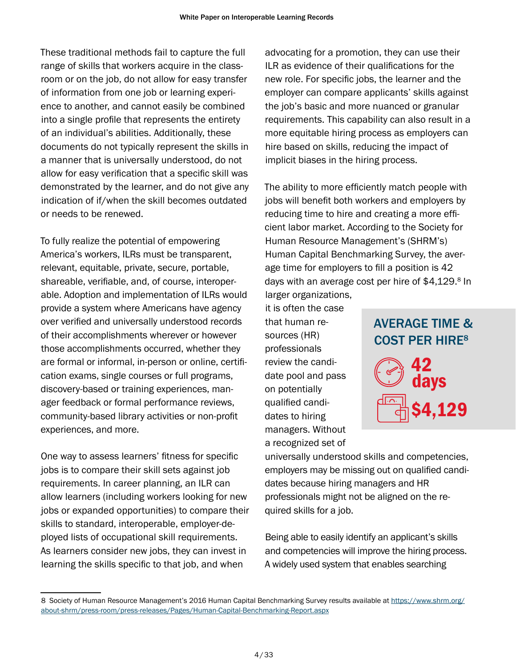These traditional methods fail to capture the full range of skills that workers acquire in the classroom or on the job, do not allow for easy transfer of information from one job or learning experience to another, and cannot easily be combined into a single profile that represents the entirety of an individual's abilities. Additionally, these documents do not typically represent the skills in a manner that is universally understood, do not allow for easy verification that a specific skill was demonstrated by the learner, and do not give any indication of if/when the skill becomes outdated or needs to be renewed.

To fully realize the potential of empowering America's workers, ILRs must be transparent, relevant, equitable, private, secure, portable, shareable, verifiable, and, of course, interoperable. Adoption and implementation of ILRs would provide a system where Americans have agency over verified and universally understood records of their accomplishments wherever or however those accomplishments occurred, whether they are formal or informal, in-person or online, certification exams, single courses or full programs, discovery-based or training experiences, manager feedback or formal performance reviews, community-based library activities or non-profit experiences, and more.

One way to assess learners' fitness for specific jobs is to compare their skill sets against job requirements. In career planning, an ILR can allow learners (including workers looking for new jobs or expanded opportunities) to compare their skills to standard, interoperable, employer-deployed lists of occupational skill requirements. As learners consider new jobs, they can invest in learning the skills specific to that job, and when

advocating for a promotion, they can use their ILR as evidence of their qualifications for the new role. For specific jobs, the learner and the employer can compare applicants' skills against the job's basic and more nuanced or granular requirements. This capability can also result in a more equitable hiring process as employers can hire based on skills, reducing the impact of implicit biases in the hiring process.

The ability to more efficiently match people with jobs will benefit both workers and employers by reducing time to hire and creating a more efficient labor market. According to the Society for Human Resource Management's (SHRM's) Human Capital Benchmarking Survey, the average time for employers to fill a position is 42 days with an average cost per hire of \$4,129. 8 In larger organizations,

it is often the case that human resources (HR) professionals review the candidate pool and pass on potentially qualified candidates to hiring managers. Without a recognized set of



universally understood skills and competencies, employers may be missing out on qualified candidates because hiring managers and HR professionals might not be aligned on the required skills for a job.

Being able to easily identify an applicant's skills and competencies will improve the hiring process. A widely used system that enables searching

<sup>8</sup> Society of Human Resource Management's 2016 Human Capital Benchmarking Survey results available at [https://www.shrm.org/](https://www.shrm.org/about-shrm/press-room/press-releases/Pages/Human-Capital-Benchmarking-Report.aspx) [about-shrm/press-room/press-releases/Pages/Human-Capital-Benchmarking-Report.aspx](https://www.shrm.org/about-shrm/press-room/press-releases/Pages/Human-Capital-Benchmarking-Report.aspx)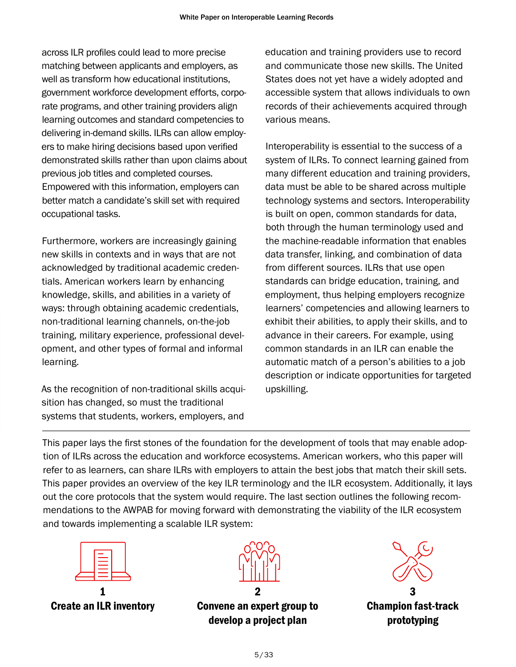across ILR profiles could lead to more precise matching between applicants and employers, as well as transform how educational institutions, government workforce development efforts, corporate programs, and other training providers align learning outcomes and standard competencies to delivering in-demand skills. ILRs can allow employers to make hiring decisions based upon verified demonstrated skills rather than upon claims about previous job titles and completed courses. Empowered with this information, employers can better match a candidate's skill set with required occupational tasks.

Furthermore, workers are increasingly gaining new skills in contexts and in ways that are not acknowledged by traditional academic credentials. American workers learn by enhancing knowledge, skills, and abilities in a variety of ways: through obtaining academic credentials, non-traditional learning channels, on-the-job training, military experience, professional development, and other types of formal and informal learning.

As the recognition of non-traditional skills acquisition has changed, so must the traditional systems that students, workers, employers, and

education and training providers use to record and communicate those new skills. The United States does not yet have a widely adopted and accessible system that allows individuals to own records of their achievements acquired through various means.

Interoperability is essential to the success of a system of ILRs. To connect learning gained from many different education and training providers, data must be able to be shared across multiple technology systems and sectors. Interoperability is built on open, common standards for data, both through the human terminology used and the machine-readable information that enables data transfer, linking, and combination of data from different sources. ILRs that use open standards can bridge education, training, and employment, thus helping employers recognize learners' competencies and allowing learners to exhibit their abilities, to apply their skills, and to advance in their careers. For example, using common standards in an ILR can enable the automatic match of a person's abilities to a job description or indicate opportunities for targeted upskilling.

This paper lays the first stones of the foundation for the development of tools that may enable adoption of ILRs across the education and workforce ecosystems. American workers, who this paper will refer to as learners, can share ILRs with employers to attain the best jobs that match their skill sets. This paper provides an overview of the key ILR terminology and the ILR ecosystem. Additionally, it lays out the core protocols that the system would require. The last section outlines the following recommendations to the AWPAB for moving forward with demonstrating the viability of the ILR ecosystem and towards implementing a scalable ILR system:



1 Create an ILR inventory



2 Convene an expert group to develop a project plan

3 Champion fast-track prototyping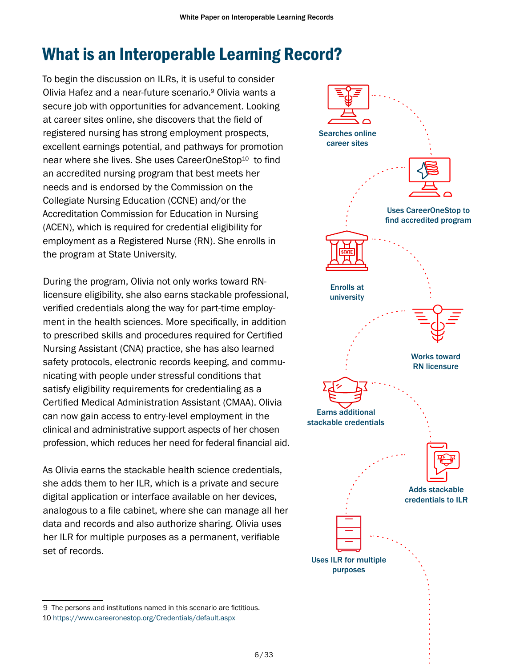# <span id="page-6-0"></span>What is an Interoperable Learning Record?

To begin the discussion on ILRs, it is useful to consider Olivia Hafez and a near-future scenario. 9 Olivia wants a secure job with opportunities for advancement. Looking at career sites online, she discovers that the field of registered nursing has strong employment prospects, excellent earnings potential, and pathways for promotion near where she lives. She uses CareerOneStop<sup>10</sup> to find an accredited nursing program that best meets her needs and is endorsed by the Commission on the Collegiate Nursing Education (CCNE) and/or the Accreditation Commission for Education in Nursing (ACEN), which is required for credential eligibility for employment as a Registered Nurse (RN). She enrolls in the program at State University.

During the program, Olivia not only works toward RNlicensure eligibility, she also earns stackable professional, verified credentials along the way for part-time employment in the health sciences. More specifically, in addition to prescribed skills and procedures required for Certified Nursing Assistant (CNA) practice, she has also learned safety protocols, electronic records keeping, and communicating with people under stressful conditions that satisfy eligibility requirements for credentialing as a Certified Medical Administration Assistant (CMAA). Olivia can now gain access to entry-level employment in the clinical and administrative support aspects of her chosen profession, which reduces her need for federal financial aid.

As Olivia earns the stackable health science credentials, she adds them to her ILR, which is a private and secure digital application or interface available on her devices, analogous to a file cabinet, where she can manage all her data and records and also authorize sharing. Olivia uses her ILR for multiple purposes as a permanent, verifiable set of records.



<sup>9</sup> The persons and institutions named in this scenario are fictitious. 10 [https://www.careeronestop.org/Credentials/default.aspx]( https://www.careeronestop.org/Credentials/default.aspx)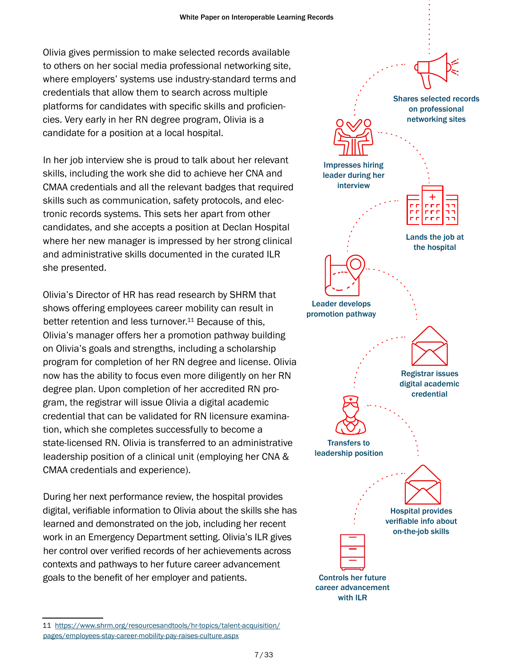Olivia gives permission to make selected records available to others on her social media professional networking site, where employers' systems use industry-standard terms and credentials that allow them to search across multiple platforms for candidates with specific skills and proficiencies. Very early in her RN degree program, Olivia is a candidate for a position at a local hospital.

In her job interview she is proud to talk about her relevant skills, including the work she did to achieve her CNA and CMAA credentials and all the relevant badges that required skills such as communication, safety protocols, and electronic records systems. This sets her apart from other candidates, and she accepts a position at Declan Hospital where her new manager is impressed by her strong clinical and administrative skills documented in the curated ILR she presented.

Olivia's Director of HR has read research by SHRM that shows offering employees career mobility can result in better retention and less turnover. 11 Because of this, Olivia's manager offers her a promotion pathway building on Olivia's goals and strengths, including a scholarship program for completion of her RN degree and license. Olivia now has the ability to focus even more diligently on her RN degree plan. Upon completion of her accredited RN program, the registrar will issue Olivia a digital academic credential that can be validated for RN licensure examination, which she completes successfully to become a state-licensed RN. Olivia is transferred to an administrative leadership position of a clinical unit (employing her CNA & CMAA credentials and experience).

During her next performance review, the hospital provides digital, verifiable information to Olivia about the skills she has learned and demonstrated on the job, including her recent work in an Emergency Department setting. Olivia's ILR gives her control over verified records of her achievements across contexts and pathways to her future career advancement goals to the benefit of her employer and patients.



<sup>11</sup> [https://www.shrm.org/resourcesandtools/hr-topics/talent-acquisition/](https://www.shrm.org/resourcesandtools/hr-topics/talent-acquisition/pages/employees-stay-career-mobility-pay-raises-culture.aspx) [pages/employees-stay-career-mobility-pay-raises-culture.aspx](https://www.shrm.org/resourcesandtools/hr-topics/talent-acquisition/pages/employees-stay-career-mobility-pay-raises-culture.aspx)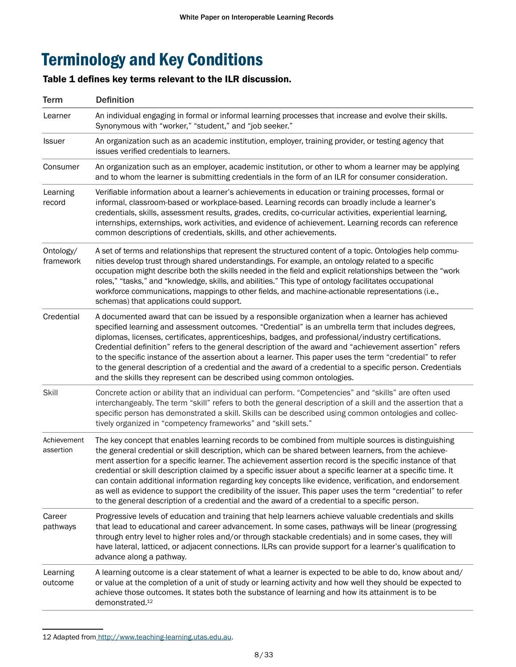# <span id="page-8-0"></span>Terminology and Key Conditions

#### Table 1 defines key terms relevant to the ILR discussion.

| <b>Term</b>              | <b>Definition</b>                                                                                                                                                                                                                                                                                                                                                                                                                                                                                                                                                                                                                                                                                                                                                    |  |
|--------------------------|----------------------------------------------------------------------------------------------------------------------------------------------------------------------------------------------------------------------------------------------------------------------------------------------------------------------------------------------------------------------------------------------------------------------------------------------------------------------------------------------------------------------------------------------------------------------------------------------------------------------------------------------------------------------------------------------------------------------------------------------------------------------|--|
| Learner                  | An individual engaging in formal or informal learning processes that increase and evolve their skills.<br>Synonymous with "worker," "student," and "job seeker."                                                                                                                                                                                                                                                                                                                                                                                                                                                                                                                                                                                                     |  |
| Issuer                   | An organization such as an academic institution, employer, training provider, or testing agency that<br>issues verified credentials to learners.                                                                                                                                                                                                                                                                                                                                                                                                                                                                                                                                                                                                                     |  |
| Consumer                 | An organization such as an employer, academic institution, or other to whom a learner may be applying<br>and to whom the learner is submitting credentials in the form of an ILR for consumer consideration.                                                                                                                                                                                                                                                                                                                                                                                                                                                                                                                                                         |  |
| Learning<br>record       | Verifiable information about a learner's achievements in education or training processes, formal or<br>informal, classroom-based or workplace-based. Learning records can broadly include a learner's<br>credentials, skills, assessment results, grades, credits, co-curricular activities, experiential learning,<br>internships, externships, work activities, and evidence of achievement. Learning records can reference<br>common descriptions of credentials, skills, and other achievements.                                                                                                                                                                                                                                                                 |  |
| Ontology/<br>framework   | A set of terms and relationships that represent the structured content of a topic. Ontologies help commu-<br>nities develop trust through shared understandings. For example, an ontology related to a specific<br>occupation might describe both the skills needed in the field and explicit relationships between the "work<br>roles," "tasks," and "knowledge, skills, and abilities." This type of ontology facilitates occupational<br>workforce communications, mappings to other fields, and machine-actionable representations (i.e.,<br>schemas) that applications could support.                                                                                                                                                                           |  |
| Credential               | A documented award that can be issued by a responsible organization when a learner has achieved<br>specified learning and assessment outcomes. "Credential" is an umbrella term that includes degrees,<br>diplomas, licenses, certificates, apprenticeships, badges, and professional/industry certifications.<br>Credential definition" refers to the general description of the award and "achievement assertion" refers<br>to the specific instance of the assertion about a learner. This paper uses the term "credential" to refer<br>to the general description of a credential and the award of a credential to a specific person. Credentials<br>and the skills they represent can be described using common ontologies.                                     |  |
| Skill                    | Concrete action or ability that an individual can perform. "Competencies" and "skills" are often used<br>interchangeably. The term "skill" refers to both the general description of a skill and the assertion that a<br>specific person has demonstrated a skill. Skills can be described using common ontologies and collec-<br>tively organized in "competency frameworks" and "skill sets."                                                                                                                                                                                                                                                                                                                                                                      |  |
| Achievement<br>assertion | The key concept that enables learning records to be combined from multiple sources is distinguishing<br>the general credential or skill description, which can be shared between learners, from the achieve-<br>ment assertion for a specific learner. The achievement assertion record is the specific instance of that<br>credential or skill description claimed by a specific issuer about a specific learner at a specific time. It<br>can contain additional information regarding key concepts like evidence, verification, and endorsement<br>as well as evidence to support the credibility of the issuer. This paper uses the term "credential" to refer<br>to the general description of a credential and the award of a credential to a specific person. |  |
| Career<br>pathways       | Progressive levels of education and training that help learners achieve valuable credentials and skills<br>that lead to educational and career advancement. In some cases, pathways will be linear (progressing<br>through entry level to higher roles and/or through stackable credentials) and in some cases, they will<br>have lateral, latticed, or adjacent connections. ILRs can provide support for a learner's qualification to<br>advance along a pathway.                                                                                                                                                                                                                                                                                                  |  |
| Learning<br>outcome      | A learning outcome is a clear statement of what a learner is expected to be able to do, know about and/<br>or value at the completion of a unit of study or learning activity and how well they should be expected to<br>achieve those outcomes. It states both the substance of learning and how its attainment is to be<br>demonstrated. <sup>12</sup>                                                                                                                                                                                                                                                                                                                                                                                                             |  |

<sup>12</sup> Adapted from [http://www.teaching-learning.utas.edu.au.](http://www.teaching-learning.utas.edu.au)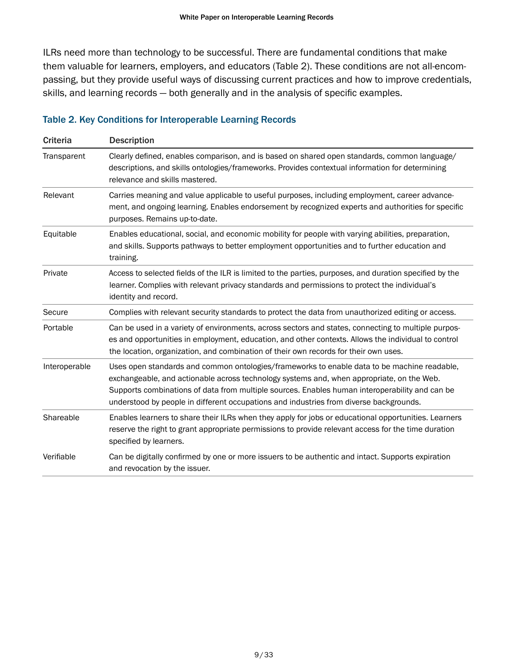ILRs need more than technology to be successful. There are fundamental conditions that make them valuable for learners, employers, and educators (Table 2). These conditions are not all-encompassing, but they provide useful ways of discussing current practices and how to improve credentials, skills, and learning records — both generally and in the analysis of specific examples.

#### Table 2. Key Conditions for Interoperable Learning Records

| <b>Criteria</b> | <b>Description</b>                                                                                                                                                                                                                                                                                                                                                                   |  |
|-----------------|--------------------------------------------------------------------------------------------------------------------------------------------------------------------------------------------------------------------------------------------------------------------------------------------------------------------------------------------------------------------------------------|--|
| Transparent     | Clearly defined, enables comparison, and is based on shared open standards, common language/<br>descriptions, and skills ontologies/frameworks. Provides contextual information for determining<br>relevance and skills mastered.                                                                                                                                                    |  |
| Relevant        | Carries meaning and value applicable to useful purposes, including employment, career advance-<br>ment, and ongoing learning. Enables endorsement by recognized experts and authorities for specific<br>purposes. Remains up-to-date.                                                                                                                                                |  |
| Equitable       | Enables educational, social, and economic mobility for people with varying abilities, preparation,<br>and skills. Supports pathways to better employment opportunities and to further education and<br>training.                                                                                                                                                                     |  |
| Private         | Access to selected fields of the ILR is limited to the parties, purposes, and duration specified by the<br>learner. Complies with relevant privacy standards and permissions to protect the individual's<br>identity and record.                                                                                                                                                     |  |
| Secure          | Complies with relevant security standards to protect the data from unauthorized editing or access.                                                                                                                                                                                                                                                                                   |  |
| Portable        | Can be used in a variety of environments, across sectors and states, connecting to multiple purpos-<br>es and opportunities in employment, education, and other contexts. Allows the individual to control<br>the location, organization, and combination of their own records for their own uses.                                                                                   |  |
| Interoperable   | Uses open standards and common ontologies/frameworks to enable data to be machine readable,<br>exchangeable, and actionable across technology systems and, when appropriate, on the Web.<br>Supports combinations of data from multiple sources. Enables human interoperability and can be<br>understood by people in different occupations and industries from diverse backgrounds. |  |
| Shareable       | Enables learners to share their ILRs when they apply for jobs or educational opportunities. Learners<br>reserve the right to grant appropriate permissions to provide relevant access for the time duration<br>specified by learners.                                                                                                                                                |  |
| Verifiable      | Can be digitally confirmed by one or more issuers to be authentic and intact. Supports expiration<br>and revocation by the issuer.                                                                                                                                                                                                                                                   |  |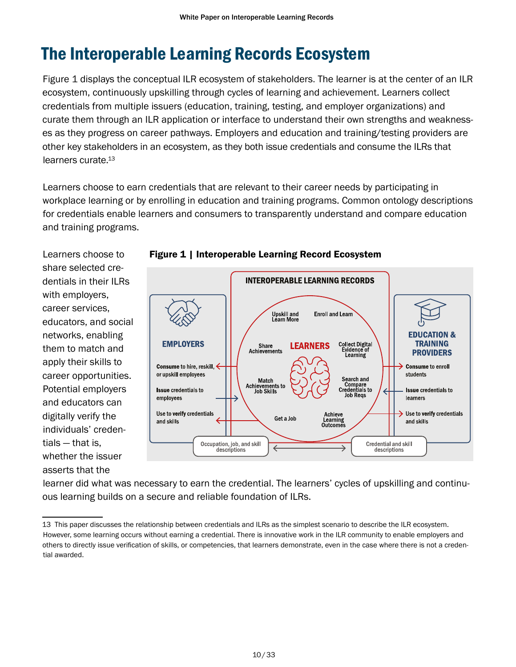# <span id="page-10-0"></span>The Interoperable Learning Records Ecosystem

Figure 1 displays the conceptual ILR ecosystem of stakeholders. The learner is at the center of an ILR ecosystem, continuously upskilling through cycles of learning and achievement. Learners collect credentials from multiple issuers (education, training, testing, and employer organizations) and curate them through an ILR application or interface to understand their own strengths and weaknesses as they progress on career pathways. Employers and education and training/testing providers are other key stakeholders in an ecosystem, as they both issue credentials and consume the ILRs that learners curate. 13

Learners choose to earn credentials that are relevant to their career needs by participating in workplace learning or by enrolling in education and training programs. Common ontology descriptions for credentials enable learners and consumers to transparently understand and compare education and training programs.

Learners choose to share selected credentials in their ILRs with employers, career services, educators, and social networks, enabling them to match and apply their skills to career opportunities. Potential employers and educators can digitally verify the individuals' credentials — that is, whether the issuer asserts that the



#### Figure 1 | Interoperable Learning Record Ecosystem

learner did what was necessary to earn the credential. The learners' cycles of upskilling and continuous learning builds on a secure and reliable foundation of ILRs.

<sup>13</sup> This paper discusses the relationship between credentials and ILRs as the simplest scenario to describe the ILR ecosystem. However, some learning occurs without earning a credential. There is innovative work in the ILR community to enable employers and others to directly issue verification of skills, or competencies, that learners demonstrate, even in the case where there is not a credential awarded.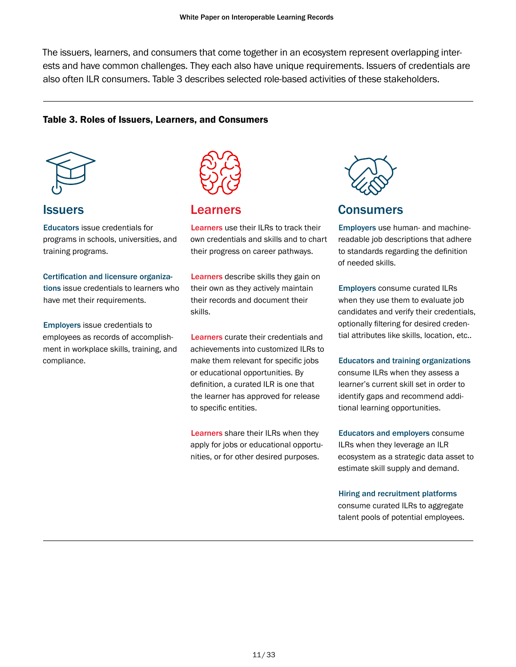The issuers, learners, and consumers that come together in an ecosystem represent overlapping interests and have common challenges. They each also have unique requirements. Issuers of credentials are also often ILR consumers. Table 3 describes selected role-based activities of these stakeholders.

#### Table 3. Roles of Issuers, Learners, and Consumers



#### **Issuers**

Educators issue credentials for programs in schools, universities, and training programs.

#### Certification and licensure organiza-

tions issue credentials to learners who have met their requirements.

Employers issue credentials to employees as records of accomplishment in workplace skills, training, and compliance.



### Learners

Learners use their ILRs to track their own credentials and skills and to chart their progress on career pathways.

Learners describe skills they gain on their own as they actively maintain their records and document their skills.

Learners curate their credentials and achievements into customized ILRs to make them relevant for specific jobs or educational opportunities. By definition, a curated ILR is one that the learner has approved for release to specific entities.

Learners share their ILRs when they apply for jobs or educational opportunities, or for other desired purposes.



#### Consumers

Employers use human- and machinereadable job descriptions that adhere to standards regarding the definition of needed skills.

Employers consume curated ILRs when they use them to evaluate job candidates and verify their credentials, optionally filtering for desired credential attributes like skills, location, etc..

Educators and training organizations consume ILRs when they assess a learner's current skill set in order to identify gaps and recommend additional learning opportunities.

Educators and employers consume ILRs when they leverage an ILR ecosystem as a strategic data asset to estimate skill supply and demand.

#### Hiring and recruitment platforms

consume curated ILRs to aggregate talent pools of potential employees.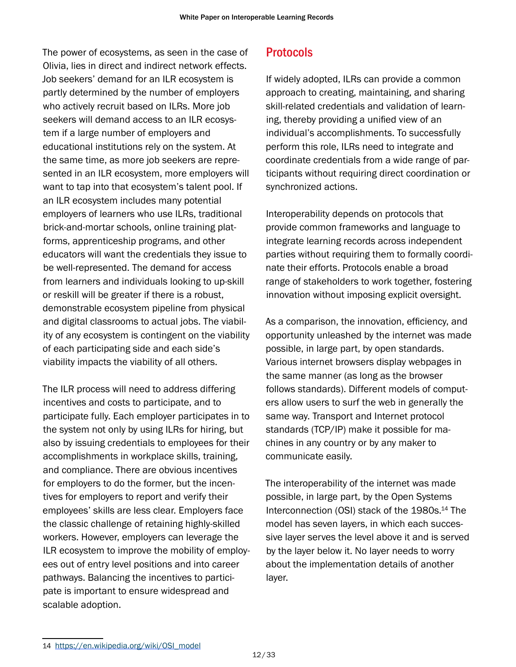<span id="page-12-0"></span>The power of ecosystems, as seen in the case of Olivia, lies in direct and indirect network effects. Job seekers' demand for an ILR ecosystem is partly determined by the number of employers who actively recruit based on ILRs. More job seekers will demand access to an ILR ecosystem if a large number of employers and educational institutions rely on the system. At the same time, as more job seekers are represented in an ILR ecosystem, more employers will want to tap into that ecosystem's talent pool. If an ILR ecosystem includes many potential employers of learners who use ILRs, traditional brick-and-mortar schools, online training platforms, apprenticeship programs, and other educators will want the credentials they issue to be well-represented. The demand for access from learners and individuals looking to up-skill or reskill will be greater if there is a robust, demonstrable ecosystem pipeline from physical and digital classrooms to actual jobs. The viability of any ecosystem is contingent on the viability of each participating side and each side's viability impacts the viability of all others.

The ILR process will need to address differing incentives and costs to participate, and to participate fully. Each employer participates in to the system not only by using ILRs for hiring, but also by issuing credentials to employees for their accomplishments in workplace skills, training, and compliance. There are obvious incentives for employers to do the former, but the incentives for employers to report and verify their employees' skills are less clear. Employers face the classic challenge of retaining highly-skilled workers. However, employers can leverage the ILR ecosystem to improve the mobility of employees out of entry level positions and into career pathways. Balancing the incentives to participate is important to ensure widespread and scalable adoption.

# Protocols

If widely adopted, ILRs can provide a common approach to creating, maintaining, and sharing skill-related credentials and validation of learning, thereby providing a unified view of an individual's accomplishments. To successfully perform this role, ILRs need to integrate and coordinate credentials from a wide range of participants without requiring direct coordination or synchronized actions.

Interoperability depends on protocols that provide common frameworks and language to integrate learning records across independent parties without requiring them to formally coordinate their efforts. Protocols enable a broad range of stakeholders to work together, fostering innovation without imposing explicit oversight.

As a comparison, the innovation, efficiency, and opportunity unleashed by the internet was made possible, in large part, by open standards. Various internet browsers display webpages in the same manner (as long as the browser follows standards). Different models of computers allow users to surf the web in generally the same way. Transport and Internet protocol standards (TCP/IP) make it possible for machines in any country or by any maker to communicate easily.

The interoperability of the internet was made possible, in large part, by the Open Systems Interconnection (OSI) stack of the 1980s. <sup>14</sup> The model has seven layers, in which each successive layer serves the level above it and is served by the layer below it. No layer needs to worry about the implementation details of another layer.

<sup>14</sup> [https://en.wikipedia.org/wiki/OSI\\_model](https://en.wikipedia.org/wiki/OSI_model)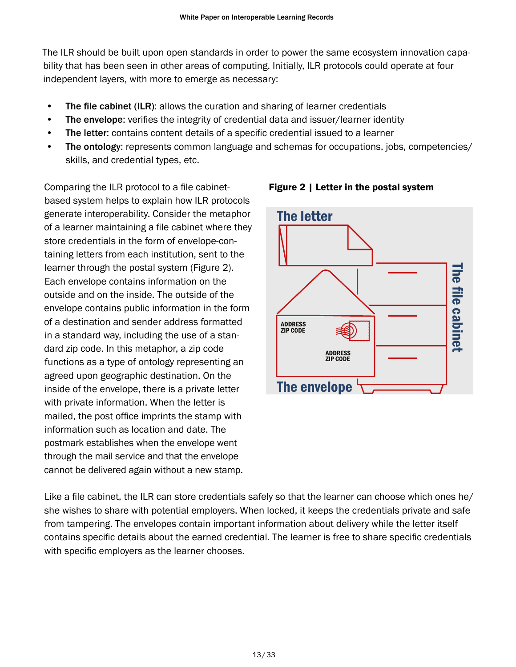The ILR should be built upon open standards in order to power the same ecosystem innovation capability that has been seen in other areas of computing. Initially, ILR protocols could operate at four independent layers, with more to emerge as necessary:

- The file cabinet (ILR): allows the curation and sharing of learner credentials
- The envelope: verifies the integrity of credential data and issuer/learner identity
- The letter: contains content details of a specific credential issued to a learner
- The ontology: represents common language and schemas for occupations, jobs, competencies/ skills, and credential types, etc.

Comparing the ILR protocol to a file cabinet-<br>
Figure 2 | Letter in the postal system based system helps to explain how ILR protocols generate interoperability. Consider the metaphor of a learner maintaining a file cabinet where they store credentials in the form of envelope-containing letters from each institution, sent to the learner through the postal system (Figure 2). Each envelope contains information on the outside and on the inside. The outside of the envelope contains public information in the form of a destination and sender address formatted in a standard way, including the use of a standard zip code. In this metaphor, a zip code functions as a type of ontology representing an agreed upon geographic destination. On the inside of the envelope, there is a private letter with private information. When the letter is mailed, the post office imprints the stamp with information such as location and date. The postmark establishes when the envelope went through the mail service and that the envelope cannot be delivered again without a new stamp.



Like a file cabinet, the ILR can store credentials safely so that the learner can choose which ones he/ she wishes to share with potential employers. When locked, it keeps the credentials private and safe from tampering. The envelopes contain important information about delivery while the letter itself contains specific details about the earned credential. The learner is free to share specific credentials with specific employers as the learner chooses.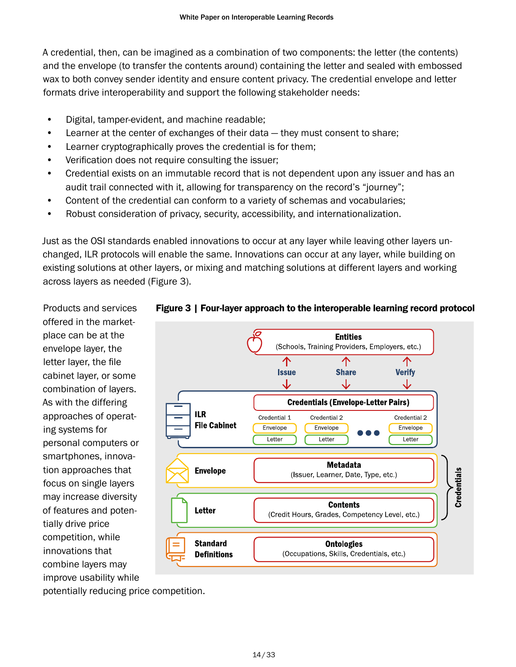A credential, then, can be imagined as a combination of two components: the letter (the contents) and the envelope (to transfer the contents around) containing the letter and sealed with embossed wax to both convey sender identity and ensure content privacy. The credential envelope and letter formats drive interoperability and support the following stakeholder needs:

- Digital, tamper-evident, and machine readable;
- Learner at the center of exchanges of their data they must consent to share;
- Learner cryptographically proves the credential is for them;
- Verification does not require consulting the issuer;
- Credential exists on an immutable record that is not dependent upon any issuer and has an audit trail connected with it, allowing for transparency on the record's "journey";
- Content of the credential can conform to a variety of schemas and vocabularies;
- Robust consideration of privacy, security, accessibility, and internationalization.

Just as the OSI standards enabled innovations to occur at any layer while leaving other layers unchanged, ILR protocols will enable the same. Innovations can occur at any layer, while building on existing solutions at other layers, or mixing and matching solutions at different layers and working across layers as needed (Figure 3).

Products and services offered in the marketplace can be at the envelope layer, the letter layer, the file cabinet layer, or some combination of layers. As with the differing approaches of operating systems for personal computers or smartphones, innovation approaches that focus on single layers may increase diversity of features and potentially drive price competition, while innovations that combine layers may improve usability while



#### Figure 3 | Four-layer approach to the interoperable learning record protocol

potentially reducing price competition.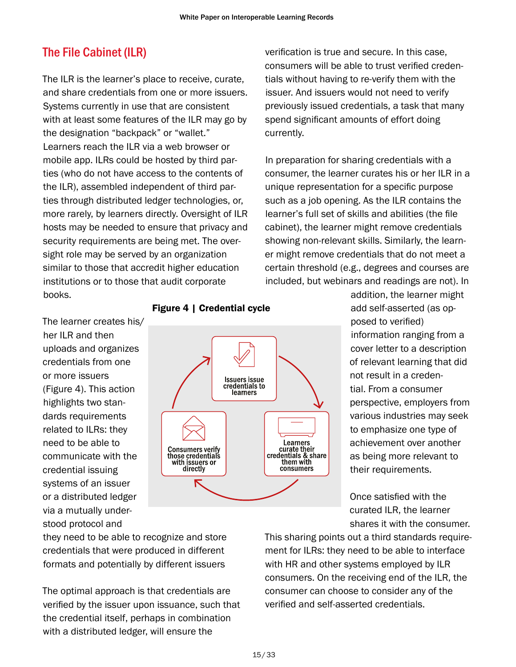# <span id="page-15-0"></span>The File Cabinet (ILR)

The ILR is the learner's place to receive, curate, and share credentials from one or more issuers. Systems currently in use that are consistent with at least some features of the ILR may go by the designation "backpack" or "wallet." Learners reach the ILR via a web browser or mobile app. ILRs could be hosted by third parties (who do not have access to the contents of the ILR), assembled independent of third parties through distributed ledger technologies, or, more rarely, by learners directly. Oversight of ILR hosts may be needed to ensure that privacy and security requirements are being met. The oversight role may be served by an organization similar to those that accredit higher education institutions or to those that audit corporate books.

verification is true and secure. In this case, consumers will be able to trust verified credentials without having to re-verify them with the issuer. And issuers would not need to verify previously issued credentials, a task that many spend significant amounts of effort doing currently.

In preparation for sharing credentials with a consumer, the learner curates his or her ILR in a unique representation for a specific purpose such as a job opening. As the ILR contains the learner's full set of skills and abilities (the file cabinet), the learner might remove credentials showing non-relevant skills. Similarly, the learner might remove credentials that do not meet a certain threshold (e.g., degrees and courses are included, but webinars and readings are not). In

The learner creates his/ her ILR and then uploads and organizes credentials from one or more issuers (Figure 4). This action highlights two standards requirements related to ILRs: they need to be able to communicate with the credential issuing systems of an issuer or a distributed ledger via a mutually understood protocol and



Figure 4 | Credential cycle

addition, the learner might add self-asserted (as opposed to verified) information ranging from a cover letter to a description of relevant learning that did not result in a credential. From a consumer perspective, employers from various industries may seek to emphasize one type of achievement over another as being more relevant to their requirements.

Once satisfied with the curated ILR, the learner shares it with the consumer.

they need to be able to recognize and store credentials that were produced in different formats and potentially by different issuers

The optimal approach is that credentials are verified by the issuer upon issuance, such that the credential itself, perhaps in combination with a distributed ledger, will ensure the

This sharing points out a third standards requirement for ILRs: they need to be able to interface with HR and other systems employed by ILR consumers. On the receiving end of the ILR, the consumer can choose to consider any of the verified and self-asserted credentials.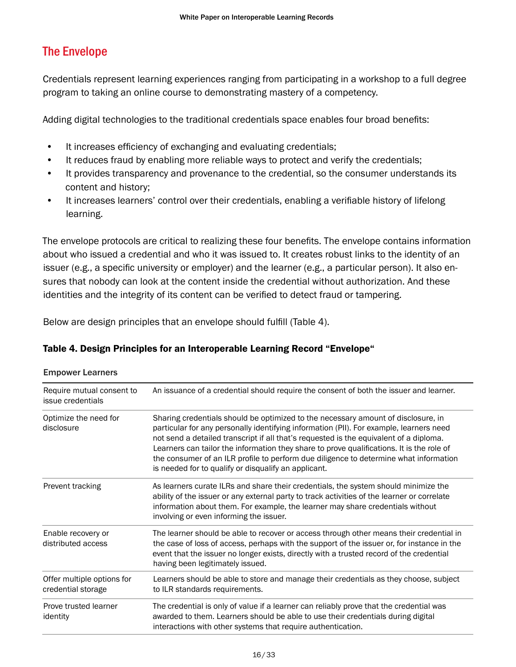# <span id="page-16-0"></span>The Envelope

Credentials represent learning experiences ranging from participating in a workshop to a full degree program to taking an online course to demonstrating mastery of a competency.

Adding digital technologies to the traditional credentials space enables four broad benefits:

- It increases efficiency of exchanging and evaluating credentials;
- It reduces fraud by enabling more reliable ways to protect and verify the credentials;
- It provides transparency and provenance to the credential, so the consumer understands its content and history;
- It increases learners' control over their credentials, enabling a verifiable history of lifelong learning.

The envelope protocols are critical to realizing these four benefits. The envelope contains information about who issued a credential and who it was issued to. It creates robust links to the identity of an issuer (e.g., a specific university or employer) and the learner (e.g., a particular person). It also ensures that nobody can look at the content inside the credential without authorization. And these identities and the integrity of its content can be verified to detect fraud or tampering.

Below are design principles that an envelope should fulfill (Table 4).

#### Table 4. Design Principles for an Interoperable Learning Record "Envelope"

| Require mutual consent to<br>issue credentials   | An issuance of a credential should require the consent of both the issuer and learner.                                                                                                                                                                                                                                                                                                                                                                                                                               |  |
|--------------------------------------------------|----------------------------------------------------------------------------------------------------------------------------------------------------------------------------------------------------------------------------------------------------------------------------------------------------------------------------------------------------------------------------------------------------------------------------------------------------------------------------------------------------------------------|--|
| Optimize the need for<br>disclosure              | Sharing credentials should be optimized to the necessary amount of disclosure, in<br>particular for any personally identifying information (PII). For example, learners need<br>not send a detailed transcript if all that's requested is the equivalent of a diploma.<br>Learners can tailor the information they share to prove qualifications. It is the role of<br>the consumer of an ILR profile to perform due diligence to determine what information<br>is needed for to qualify or disqualify an applicant. |  |
| Prevent tracking                                 | As learners curate ILRs and share their credentials, the system should minimize the<br>ability of the issuer or any external party to track activities of the learner or correlate<br>information about them. For example, the learner may share credentials without<br>involving or even informing the issuer.                                                                                                                                                                                                      |  |
| Enable recovery or<br>distributed access         | The learner should be able to recover or access through other means their credential in<br>the case of loss of access, perhaps with the support of the issuer or, for instance in the<br>event that the issuer no longer exists, directly with a trusted record of the credential<br>having been legitimately issued.                                                                                                                                                                                                |  |
| Offer multiple options for<br>credential storage | Learners should be able to store and manage their credentials as they choose, subject<br>to ILR standards requirements.                                                                                                                                                                                                                                                                                                                                                                                              |  |
| Prove trusted learner<br>identity                | The credential is only of value if a learner can reliably prove that the credential was<br>awarded to them. Learners should be able to use their credentials during digital<br>interactions with other systems that require authentication.                                                                                                                                                                                                                                                                          |  |

Empower Learners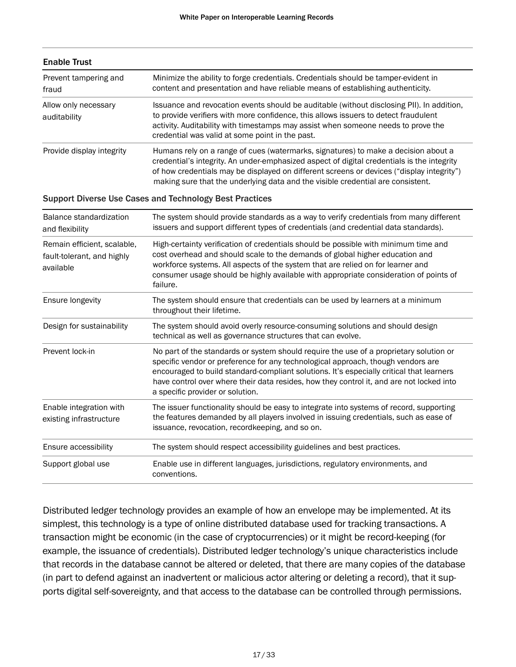| <b>Enable Trust</b>                  |                                                                                                                                                                                                                                                                                                                                                                  |  |
|--------------------------------------|------------------------------------------------------------------------------------------------------------------------------------------------------------------------------------------------------------------------------------------------------------------------------------------------------------------------------------------------------------------|--|
| Prevent tampering and<br>fraud       | Minimize the ability to forge credentials. Credentials should be tamper-evident in<br>content and presentation and have reliable means of establishing authenticity.                                                                                                                                                                                             |  |
| Allow only necessary<br>auditability | Issuance and revocation events should be auditable (without disclosing PII). In addition,<br>to provide verifiers with more confidence, this allows issuers to detect fraudulent<br>activity. Auditability with timestamps may assist when someone needs to prove the<br>credential was valid at some point in the past.                                         |  |
| Provide display integrity            | Humans rely on a range of cues (watermarks, signatures) to make a decision about a<br>credential's integrity. An under-emphasized aspect of digital credentials is the integrity<br>of how credentials may be displayed on different screens or devices ("display integrity")<br>making sure that the underlying data and the visible credential are consistent. |  |

#### Support Diverse Use Cases and Technology Best Practices

| Balance standardization<br>and flexibility                             | The system should provide standards as a way to verify credentials from many different<br>issuers and support different types of credentials (and credential data standards).                                                                                                                                                                                                                          |  |
|------------------------------------------------------------------------|--------------------------------------------------------------------------------------------------------------------------------------------------------------------------------------------------------------------------------------------------------------------------------------------------------------------------------------------------------------------------------------------------------|--|
| Remain efficient, scalable,<br>fault-tolerant, and highly<br>available | High-certainty verification of credentials should be possible with minimum time and<br>cost overhead and should scale to the demands of global higher education and<br>workforce systems. All aspects of the system that are relied on for learner and<br>consumer usage should be highly available with appropriate consideration of points of<br>failure.                                            |  |
| Ensure longevity                                                       | The system should ensure that credentials can be used by learners at a minimum<br>throughout their lifetime.                                                                                                                                                                                                                                                                                           |  |
| Design for sustainability                                              | The system should avoid overly resource-consuming solutions and should design<br>technical as well as governance structures that can evolve.                                                                                                                                                                                                                                                           |  |
| Prevent lock-in                                                        | No part of the standards or system should require the use of a proprietary solution or<br>specific vendor or preference for any technological approach, though vendors are<br>encouraged to build standard-compliant solutions. It's especially critical that learners<br>have control over where their data resides, how they control it, and are not locked into<br>a specific provider or solution. |  |
| Enable integration with<br>existing infrastructure                     | The issuer functionality should be easy to integrate into systems of record, supporting<br>the features demanded by all players involved in issuing credentials, such as ease of<br>issuance, revocation, recordkeeping, and so on.                                                                                                                                                                    |  |
| Ensure accessibility                                                   | The system should respect accessibility guidelines and best practices.                                                                                                                                                                                                                                                                                                                                 |  |
| Support global use                                                     | Enable use in different languages, jurisdictions, regulatory environments, and<br>conventions.                                                                                                                                                                                                                                                                                                         |  |

Distributed ledger technology provides an example of how an envelope may be implemented. At its simplest, this technology is a type of online distributed database used for tracking transactions. A transaction might be economic (in the case of cryptocurrencies) or it might be record-keeping (for example, the issuance of credentials). Distributed ledger technology's unique characteristics include that records in the database cannot be altered or deleted, that there are many copies of the database (in part to defend against an inadvertent or malicious actor altering or deleting a record), that it supports digital self-sovereignty, and that access to the database can be controlled through permissions.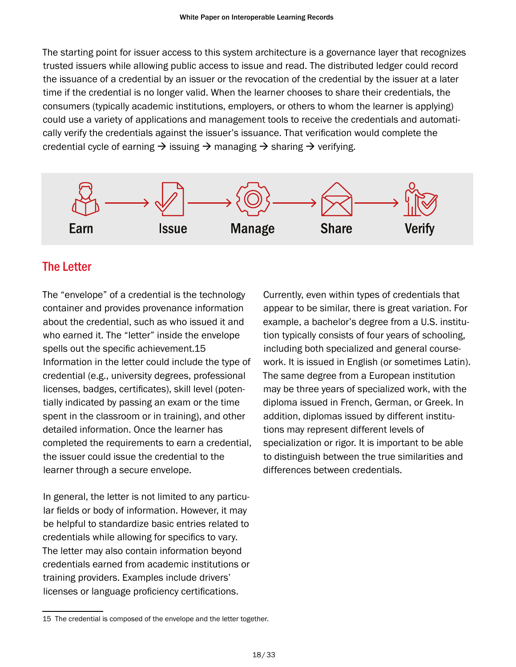<span id="page-18-0"></span>The starting point for issuer access to this system architecture is a governance layer that recognizes trusted issuers while allowing public access to issue and read. The distributed ledger could record the issuance of a credential by an issuer or the revocation of the credential by the issuer at a later time if the credential is no longer valid. When the learner chooses to share their credentials, the consumers (typically academic institutions, employers, or others to whom the learner is applying) could use a variety of applications and management tools to receive the credentials and automatically verify the credentials against the issuer's issuance. That verification would complete the credential cycle of earning  $\rightarrow$  issuing  $\rightarrow$  managing  $\rightarrow$  sharing  $\rightarrow$  verifying.



# The Letter

The "envelope" of a credential is the technology container and provides provenance information about the credential, such as who issued it and who earned it. The "letter" inside the envelope spells out the specific achievement.15 Information in the letter could include the type of credential (e.g., university degrees, professional licenses, badges, certificates), skill level (potentially indicated by passing an exam or the time spent in the classroom or in training), and other detailed information. Once the learner has completed the requirements to earn a credential, the issuer could issue the credential to the learner through a secure envelope.

In general, the letter is not limited to any particular fields or body of information. However, it may be helpful to standardize basic entries related to credentials while allowing for specifics to vary. The letter may also contain information beyond credentials earned from academic institutions or training providers. Examples include drivers' licenses or language proficiency certifications.

Currently, even within types of credentials that appear to be similar, there is great variation. For example, a bachelor's degree from a U.S. institution typically consists of four years of schooling, including both specialized and general coursework. It is issued in English (or sometimes Latin). The same degree from a European institution may be three years of specialized work, with the diploma issued in French, German, or Greek. In addition, diplomas issued by different institutions may represent different levels of specialization or rigor. It is important to be able to distinguish between the true similarities and differences between credentials.

<sup>15</sup> The credential is composed of the envelope and the letter together.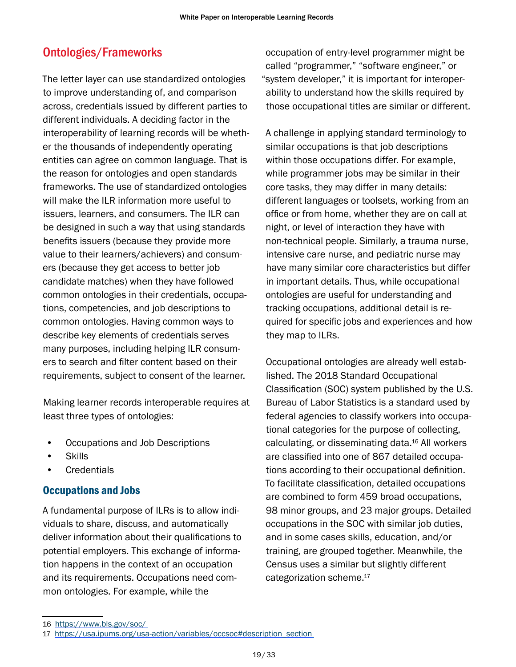# <span id="page-19-0"></span>Ontologies/Frameworks

The letter layer can use standardized ontologies to improve understanding of, and comparison across, credentials issued by different parties to different individuals. A deciding factor in the interoperability of learning records will be whether the thousands of independently operating entities can agree on common language. That is the reason for ontologies and open standards frameworks. The use of standardized ontologies will make the ILR information more useful to issuers, learners, and consumers. The ILR can be designed in such a way that using standards benefits issuers (because they provide more value to their learners/achievers) and consumers (because they get access to better job candidate matches) when they have followed common ontologies in their credentials, occupations, competencies, and job descriptions to common ontologies. Having common ways to describe key elements of credentials serves many purposes, including helping ILR consumers to search and filter content based on their requirements, subject to consent of the learner.

Making learner records interoperable requires at least three types of ontologies:

- Occupations and Job Descriptions
- Skills
- **Credentials**

#### Occupations and Jobs

A fundamental purpose of ILRs is to allow individuals to share, discuss, and automatically deliver information about their qualifications to potential employers. This exchange of information happens in the context of an occupation and its requirements. Occupations need common ontologies. For example, while the

occupation of entry-level programmer might be called "programmer," "software engineer," or "system developer," it is important for interoperability to understand how the skills required by those occupational titles are similar or different.

A challenge in applying standard terminology to similar occupations is that job descriptions within those occupations differ. For example, while programmer jobs may be similar in their core tasks, they may differ in many details: different languages or toolsets, working from an office or from home, whether they are on call at night, or level of interaction they have with non-technical people. Similarly, a trauma nurse, intensive care nurse, and pediatric nurse may have many similar core characteristics but differ in important details. Thus, while occupational ontologies are useful for understanding and tracking occupations, additional detail is required for specific jobs and experiences and how they map to ILRs.

Occupational ontologies are already well established. The 2018 Standard Occupational Classification (SOC) system published by the U.S. Bureau of Labor Statistics is a standard used by federal agencies to classify workers into occupational categories for the purpose of collecting, calculating, or disseminating data. 16 All workers are classified into one of 867 detailed occupations according to their occupational definition. To facilitate classification, detailed occupations are combined to form 459 broad occupations, 98 minor groups, and 23 major groups. Detailed occupations in the SOC with similar job duties, and in some cases skills, education, and/or training, are grouped together. Meanwhile, the Census uses a similar but slightly different categorization scheme. 17

<sup>16</sup> <https://www.bls.gov/soc/>

<sup>17</sup> https://usa.ipums.org/usa-action/variables/occsoc#description\_section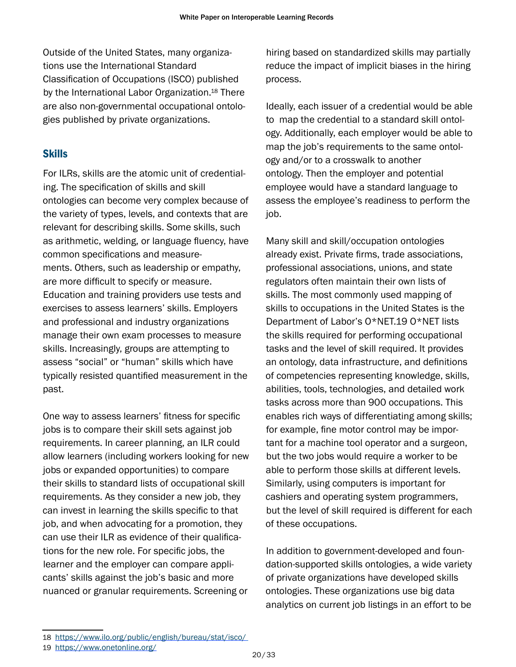<span id="page-20-0"></span>Outside of the United States, many organizations use the International Standard Classification of Occupations (ISCO) published by the International Labor Organization. 18 There are also non-governmental occupational ontologies published by private organizations.

### **Skills**

For ILRs, skills are the atomic unit of credentialing. The specification of skills and skill ontologies can become very complex because of the variety of types, levels, and contexts that are relevant for describing skills. Some skills, such as arithmetic, welding, or language fluency, have common specifications and measurements. Others, such as leadership or empathy, are more difficult to specify or measure. Education and training providers use tests and exercises to assess learners' skills. Employers and professional and industry organizations manage their own exam processes to measure skills. Increasingly, groups are attempting to assess "social" or "human" skills which have typically resisted quantified measurement in the past.

One way to assess learners' fitness for specific jobs is to compare their skill sets against job requirements. In career planning, an ILR could allow learners (including workers looking for new jobs or expanded opportunities) to compare their skills to standard lists of occupational skill requirements. As they consider a new job, they can invest in learning the skills specific to that job, and when advocating for a promotion, they can use their ILR as evidence of their qualifications for the new role. For specific jobs, the learner and the employer can compare applicants' skills against the job's basic and more nuanced or granular requirements. Screening or

hiring based on standardized skills may partially reduce the impact of implicit biases in the hiring process.

Ideally, each issuer of a credential would be able to map the credential to a standard skill ontology. Additionally, each employer would be able to map the job's requirements to the same ontology and/or to a crosswalk to another ontology. Then the employer and potential employee would have a standard language to assess the employee's readiness to perform the job.

Many skill and skill/occupation ontologies already exist. Private firms, trade associations, professional associations, unions, and state regulators often maintain their own lists of skills. The most commonly used mapping of skills to occupations in the United States is the Department of Labor's O\*NET.19 O\*NET lists the skills required for performing occupational tasks and the level of skill required. It provides an ontology, data infrastructure, and definitions of competencies representing knowledge, skills, abilities, tools, technologies, and detailed work tasks across more than 900 occupations. This enables rich ways of differentiating among skills; for example, fine motor control may be important for a machine tool operator and a surgeon, but the two jobs would require a worker to be able to perform those skills at different levels. Similarly, using computers is important for cashiers and operating system programmers, but the level of skill required is different for each of these occupations.

In addition to government-developed and foundation-supported skills ontologies, a wide variety of private organizations have developed skills ontologies. These organizations use big data analytics on current job listings in an effort to be

<sup>18</sup> <https://www.ilo.org/public/english/bureau/stat/isco/>

<sup>19</sup> <https://www.onetonline.org/>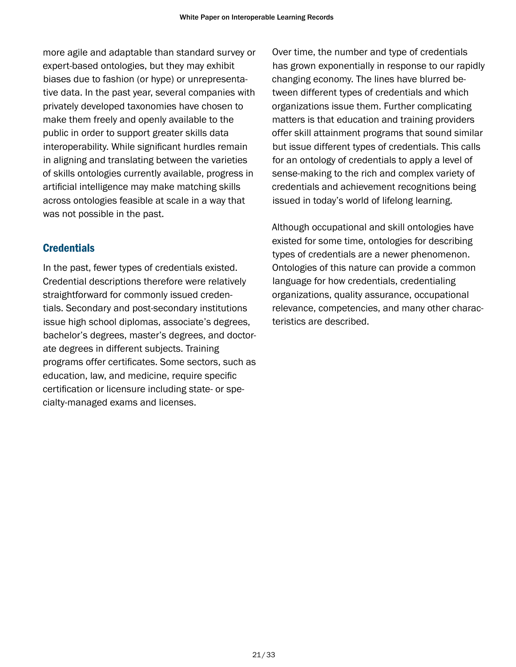<span id="page-21-0"></span>more agile and adaptable than standard survey or expert-based ontologies, but they may exhibit biases due to fashion (or hype) or unrepresentative data. In the past year, several companies with privately developed taxonomies have chosen to make them freely and openly available to the public in order to support greater skills data interoperability. While significant hurdles remain in aligning and translating between the varieties of skills ontologies currently available, progress in artificial intelligence may make matching skills across ontologies feasible at scale in a way that was not possible in the past.

#### **Credentials**

In the past, fewer types of credentials existed. Credential descriptions therefore were relatively straightforward for commonly issued credentials. Secondary and post-secondary institutions issue high school diplomas, associate's degrees, bachelor's degrees, master's degrees, and doctorate degrees in different subjects. Training programs offer certificates. Some sectors, such as education, law, and medicine, require specific certification or licensure including state- or specialty-managed exams and licenses.

Over time, the number and type of credentials has grown exponentially in response to our rapidly changing economy. The lines have blurred between different types of credentials and which organizations issue them. Further complicating matters is that education and training providers offer skill attainment programs that sound similar but issue different types of credentials. This calls for an ontology of credentials to apply a level of sense-making to the rich and complex variety of credentials and achievement recognitions being issued in today's world of lifelong learning.

Although occupational and skill ontologies have existed for some time, ontologies for describing types of credentials are a newer phenomenon. Ontologies of this nature can provide a common language for how credentials, credentialing organizations, quality assurance, occupational relevance, competencies, and many other characteristics are described.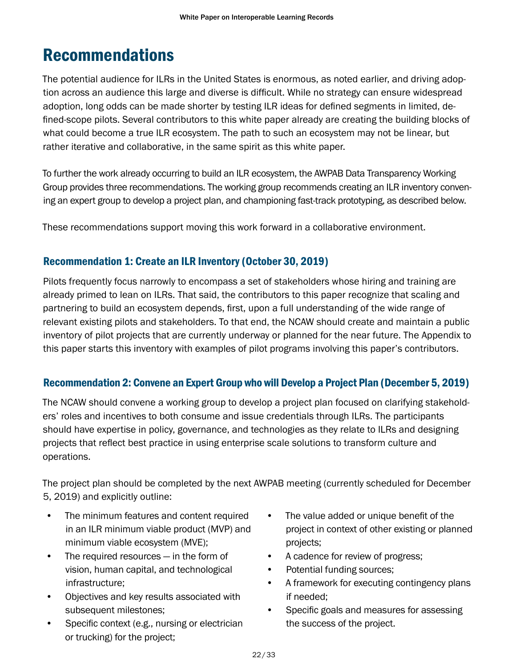# <span id="page-22-0"></span>Recommendations

The potential audience for ILRs in the United States is enormous, as noted earlier, and driving adoption across an audience this large and diverse is difficult. While no strategy can ensure widespread adoption, long odds can be made shorter by testing ILR ideas for defined segments in limited, defined-scope pilots. Several contributors to this white paper already are creating the building blocks of what could become a true ILR ecosystem. The path to such an ecosystem may not be linear, but rather iterative and collaborative, in the same spirit as this white paper.

To further the work already occurring to build an ILR ecosystem, the AWPAB Data Transparency Working Group provides three recommendations. The working group recommends creating an ILR inventory convening an expert group to develop a project plan, and championing fast-track prototyping, as described below.

These recommendations support moving this work forward in a collaborative environment.

### Recommendation 1: Create an ILR Inventory (October 30, 2019)

Pilots frequently focus narrowly to encompass a set of stakeholders whose hiring and training are already primed to lean on ILRs. That said, the contributors to this paper recognize that scaling and partnering to build an ecosystem depends, first, upon a full understanding of the wide range of relevant existing pilots and stakeholders. To that end, the NCAW should create and maintain a public inventory of pilot projects that are currently underway or planned for the near future. The Appendix to this paper starts this inventory with examples of pilot programs involving this paper's contributors.

### Recommendation 2: Convene an Expert Group who will Develop a Project Plan (December 5, 2019)

The NCAW should convene a working group to develop a project plan focused on clarifying stakeholders' roles and incentives to both consume and issue credentials through ILRs. The participants should have expertise in policy, governance, and technologies as they relate to ILRs and designing projects that reflect best practice in using enterprise scale solutions to transform culture and operations.

The project plan should be completed by the next AWPAB meeting (currently scheduled for December 5, 2019) and explicitly outline:

- The minimum features and content required in an ILR minimum viable product (MVP) and minimum viable ecosystem (MVE);
- The required resources in the form of vision, human capital, and technological infrastructure;
- Objectives and key results associated with subsequent milestones;
- Specific context (e.g., nursing or electrician or trucking) for the project;
- The value added or unique benefit of the project in context of other existing or planned projects;
- A cadence for review of progress;
- Potential funding sources;
- A framework for executing contingency plans if needed;
- Specific goals and measures for assessing the success of the project.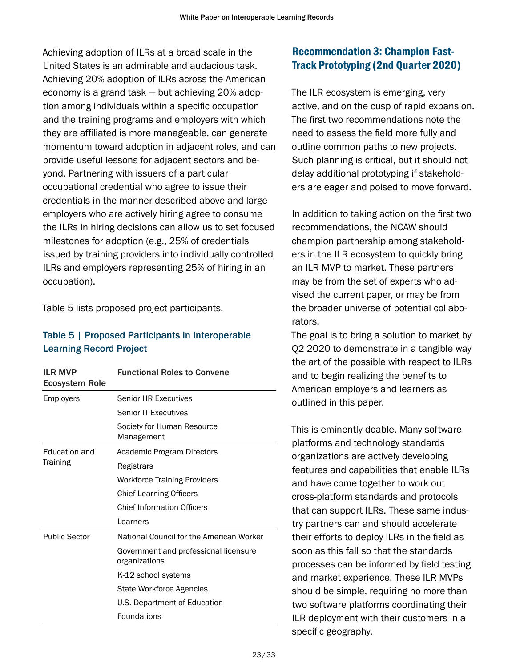<span id="page-23-0"></span>Achieving adoption of ILRs at a broad scale in the United States is an admirable and audacious task. Achieving 20% adoption of ILRs across the American economy is a grand task — but achieving 20% adoption among individuals within a specific occupation and the training programs and employers with which they are affiliated is more manageable, can generate momentum toward adoption in adjacent roles, and can provide useful lessons for adjacent sectors and beyond. Partnering with issuers of a particular occupational credential who agree to issue their credentials in the manner described above and large employers who are actively hiring agree to consume the ILRs in hiring decisions can allow us to set focused milestones for adoption (e.g., 25% of credentials issued by training providers into individually controlled ILRs and employers representing 25% of hiring in an occupation).

Table 5 lists proposed project participants.

#### Table 5 | Proposed Participants in Interoperable Learning Record Project

| <b>ILR MVP</b><br><b>Ecosystem Role</b> | <b>Functional Roles to Convene</b>                     |
|-----------------------------------------|--------------------------------------------------------|
| Employers                               | <b>Senior HR Executives</b>                            |
|                                         | <b>Senior IT Executives</b>                            |
|                                         | Society for Human Resource<br>Management               |
| <b>Education and</b>                    | Academic Program Directors                             |
| <b>Training</b>                         | Registrars                                             |
|                                         | Workforce Training Providers                           |
|                                         | <b>Chief Learning Officers</b>                         |
|                                         | <b>Chief Information Officers</b>                      |
|                                         | Learners                                               |
| <b>Public Sector</b>                    | National Council for the American Worker               |
|                                         | Government and professional licensure<br>organizations |
|                                         | K-12 school systems                                    |
|                                         | State Workforce Agencies                               |
|                                         | U.S. Department of Education                           |
|                                         | Foundations                                            |

# Recommendation 3: Champion Fast-Track Prototyping (2nd Quarter 2020)

The ILR ecosystem is emerging, very active, and on the cusp of rapid expansion. The first two recommendations note the need to assess the field more fully and outline common paths to new projects. Such planning is critical, but it should not delay additional prototyping if stakeholders are eager and poised to move forward.

In addition to taking action on the first two recommendations, the NCAW should champion partnership among stakeholders in the ILR ecosystem to quickly bring an ILR MVP to market. These partners may be from the set of experts who advised the current paper, or may be from the broader universe of potential collaborators.

The goal is to bring a solution to market by Q2 2020 to demonstrate in a tangible way the art of the possible with respect to ILRs and to begin realizing the benefits to American employers and learners as outlined in this paper.

This is eminently doable. Many software platforms and technology standards organizations are actively developing features and capabilities that enable ILRs and have come together to work out cross-platform standards and protocols that can support ILRs. These same industry partners can and should accelerate their efforts to deploy ILRs in the field as soon as this fall so that the standards processes can be informed by field testing and market experience. These ILR MVPs should be simple, requiring no more than two software platforms coordinating their ILR deployment with their customers in a specific geography.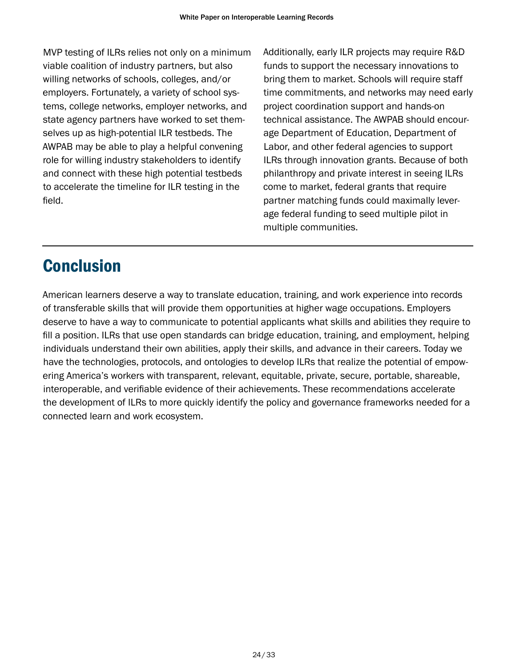<span id="page-24-0"></span>MVP testing of ILRs relies not only on a minimum viable coalition of industry partners, but also willing networks of schools, colleges, and/or employers. Fortunately, a variety of school systems, college networks, employer networks, and state agency partners have worked to set themselves up as high-potential ILR testbeds. The AWPAB may be able to play a helpful convening role for willing industry stakeholders to identify and connect with these high potential testbeds to accelerate the timeline for ILR testing in the field.

Additionally, early ILR projects may require R&D funds to support the necessary innovations to bring them to market. Schools will require staff time commitments, and networks may need early project coordination support and hands-on technical assistance. The AWPAB should encourage Department of Education, Department of Labor, and other federal agencies to support ILRs through innovation grants. Because of both philanthropy and private interest in seeing ILRs come to market, federal grants that require partner matching funds could maximally leverage federal funding to seed multiple pilot in multiple communities.

# **Conclusion**

American learners deserve a way to translate education, training, and work experience into records of transferable skills that will provide them opportunities at higher wage occupations. Employers deserve to have a way to communicate to potential applicants what skills and abilities they require to fill a position. ILRs that use open standards can bridge education, training, and employment, helping individuals understand their own abilities, apply their skills, and advance in their careers. Today we have the technologies, protocols, and ontologies to develop ILRs that realize the potential of empowering America's workers with transparent, relevant, equitable, private, secure, portable, shareable, interoperable, and verifiable evidence of their achievements. These recommendations accelerate the development of ILRs to more quickly identify the policy and governance frameworks needed for a connected learn and work ecosystem.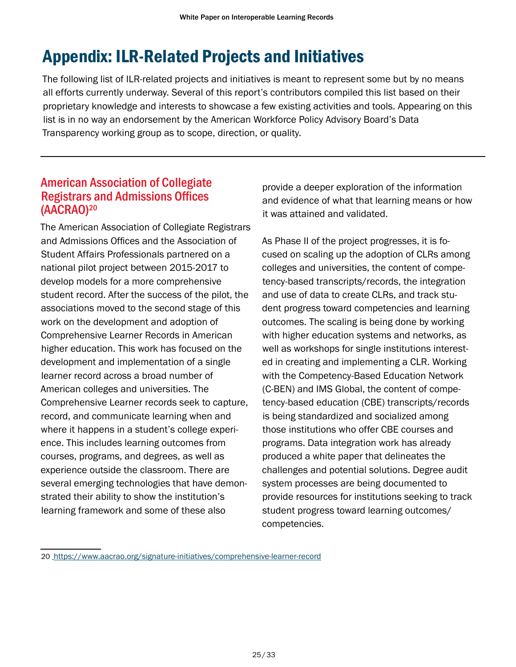# <span id="page-25-0"></span>Appendix: ILR-Related Projects and Initiatives

The following list of ILR-related projects and initiatives is meant to represent some but by no means all efforts currently underway. Several of this report's contributors compiled this list based on their proprietary knowledge and interests to showcase a few existing activities and tools. Appearing on this list is in no way an endorsement by the American Workforce Policy Advisory Board's Data Transparency working group as to scope, direction, or quality.

# American Association of Collegiate Registrars and Admissions Offices (AACRAO)20

The American Association of Collegiate Registrars and Admissions Offices and the Association of Student Affairs Professionals partnered on a national pilot project between 2015-2017 to develop models for a more comprehensive student record. After the success of the pilot, the associations moved to the second stage of this work on the development and adoption of Comprehensive Learner Records in American higher education. This work has focused on the development and implementation of a single learner record across a broad number of American colleges and universities. The Comprehensive Learner records seek to capture, record, and communicate learning when and where it happens in a student's college experience. This includes learning outcomes from courses, programs, and degrees, as well as experience outside the classroom. There are several emerging technologies that have demonstrated their ability to show the institution's learning framework and some of these also

provide a deeper exploration of the information and evidence of what that learning means or how it was attained and validated.

As Phase II of the project progresses, it is focused on scaling up the adoption of CLRs among colleges and universities, the content of competency-based transcripts/records, the integration and use of data to create CLRs, and track student progress toward competencies and learning outcomes. The scaling is being done by working with higher education systems and networks, as well as workshops for single institutions interested in creating and implementing a CLR. Working with the Competency-Based Education Network (C-BEN) and IMS Global, the content of competency-based education (CBE) transcripts/records is being standardized and socialized among those institutions who offer CBE courses and programs. Data integration work has already produced a white paper that delineates the challenges and potential solutions. Degree audit system processes are being documented to provide resources for institutions seeking to track student progress toward learning outcomes/ competencies.

<sup>20</sup> <https://www.aacrao.org/signature-initiatives/comprehensive-learner-record>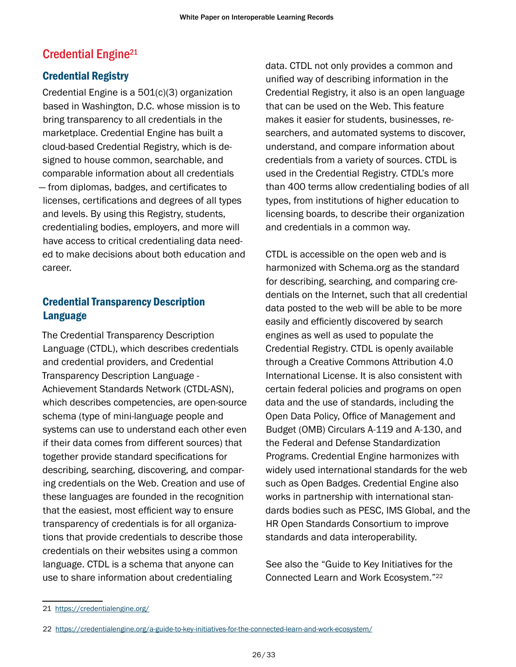# <span id="page-26-0"></span>Credential Engine<sup>21</sup>

### Credential Registry

Credential Engine is a 501(c)(3) organization based in Washington, D.C. whose mission is to bring transparency to all credentials in the marketplace. Credential Engine has built a cloud-based Credential Registry, which is designed to house common, searchable, and comparable information about all credentials — from diplomas, badges, and certificates to licenses, certifications and degrees of all types and levels. By using this Registry, students, credentialing bodies, employers, and more will have access to critical credentialing data needed to make decisions about both education and career.

### Credential Transparency Description Language

The Credential Transparency Description Language (CTDL), which describes credentials and credential providers, and Credential Transparency Description Language - Achievement Standards Network (CTDL-ASN), which describes competencies, are open-source schema (type of mini-language people and systems can use to understand each other even if their data comes from different sources) that together provide standard specifications for describing, searching, discovering, and comparing credentials on the Web. Creation and use of these languages are founded in the recognition that the easiest, most efficient way to ensure transparency of credentials is for all organizations that provide credentials to describe those credentials on their websites using a common language. CTDL is a schema that anyone can use to share information about credentialing

data. CTDL not only provides a common and unified way of describing information in the Credential Registry, it also is an open language that can be used on the Web. This feature makes it easier for students, businesses, researchers, and automated systems to discover, understand, and compare information about credentials from a variety of sources. CTDL is used in the Credential Registry. CTDL's more than 400 terms allow credentialing bodies of all types, from institutions of higher education to licensing boards, to describe their organization and credentials in a common way.

CTDL is accessible on the open web and is harmonized with Schema.org as the standard for describing, searching, and comparing credentials on the Internet, such that all credential data posted to the web will be able to be more easily and efficiently discovered by search engines as well as used to populate the Credential Registry. CTDL is openly available through a Creative Commons Attribution 4.0 International License. It is also consistent with certain federal policies and programs on open data and the use of standards, including the Open Data Policy, Office of Management and Budget (OMB) Circulars A-119 and A-130, and the Federal and Defense Standardization Programs. Credential Engine harmonizes with widely used international standards for the web such as Open Badges. Credential Engine also works in partnership with international standards bodies such as PESC, IMS Global, and the HR Open Standards Consortium to improve standards and data interoperability.

See also the "Guide to Key Initiatives for the Connected Learn and Work Ecosystem."22

<sup>21</sup> <https://credentialengine.org/>

<sup>22</sup> <https://credentialengine.org/a-guide-to-key-initiatives-for-the-connected-learn-and-work-ecosystem/>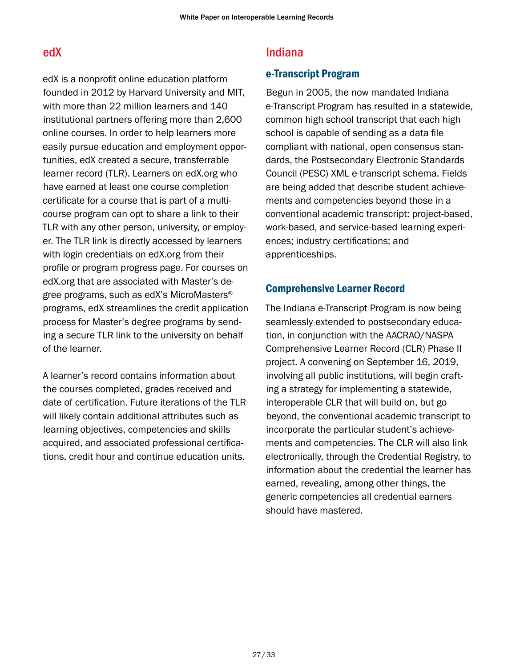# <span id="page-27-0"></span>edX

edX is a nonprofit online education platform founded in 2012 by Harvard University and MIT, with more than 22 million learners and 140 institutional partners offering more than 2,600 online courses. In order to help learners more easily pursue education and employment opportunities, edX created a secure, transferrable learner record (TLR). Learners on edX.org who have earned at least one course completion certificate for a course that is part of a multicourse program can opt to share a link to their TLR with any other person, university, or employer. The TLR link is directly accessed by learners with login credentials on edX.org from their profile or program progress page. For courses on edX.org that are associated with Master's degree programs, such as edX's MicroMasters® programs, edX streamlines the credit application process for Master's degree programs by sending a secure TLR link to the university on behalf of the learner.

A learner's record contains information about the courses completed, grades received and date of certification. Future iterations of the TLR will likely contain additional attributes such as learning objectives, competencies and skills acquired, and associated professional certifications, credit hour and continue education units.

# Indiana

#### e-Transcript Program

Begun in 2005, the now mandated Indiana e-Transcript Program has resulted in a statewide, common high school transcript that each high school is capable of sending as a data file compliant with national, open consensus standards, the Postsecondary Electronic Standards Council (PESC) XML e-transcript schema. Fields are being added that describe student achievements and competencies beyond those in a conventional academic transcript: project-based, work-based, and service-based learning experiences; industry certifications; and apprenticeships.

#### Comprehensive Learner Record

The Indiana e-Transcript Program is now being seamlessly extended to postsecondary education, in conjunction with the AACRAO/NASPA Comprehensive Learner Record (CLR) Phase II project. A convening on September 16, 2019, involving all public institutions, will begin crafting a strategy for implementing a statewide, interoperable CLR that will build on, but go beyond, the conventional academic transcript to incorporate the particular student's achievements and competencies. The CLR will also link electronically, through the Credential Registry, to information about the credential the learner has earned, revealing, among other things, the generic competencies all credential earners should have mastered.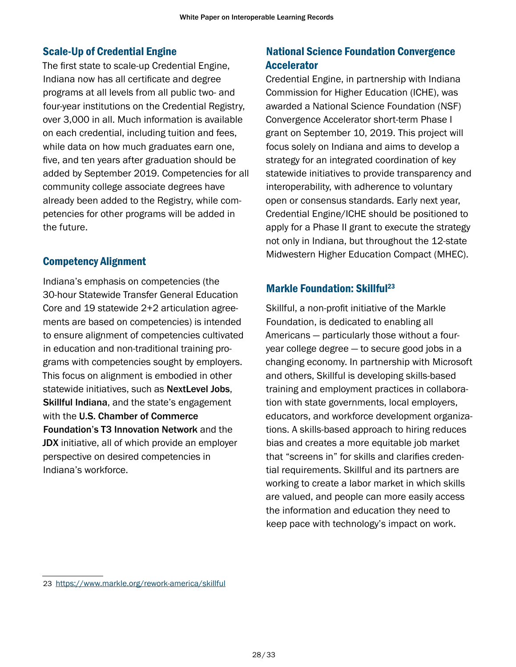### <span id="page-28-0"></span>Scale-Up of Credential Engine

The first state to scale-up Credential Engine, Indiana now has all certificate and degree programs at all levels from all public two- and four-year institutions on the Credential Registry, over 3,000 in all. Much information is available on each credential, including tuition and fees, while data on how much graduates earn one, five, and ten years after graduation should be added by September 2019. Competencies for all community college associate degrees have already been added to the Registry, while competencies for other programs will be added in the future.

#### Competency Alignment

Indiana's emphasis on competencies (the 30-hour Statewide Transfer General Education Core and 19 statewide 2+2 articulation agreements are based on competencies) is intended to ensure alignment of competencies cultivated in education and non-traditional training programs with competencies sought by employers. This focus on alignment is embodied in other statewide initiatives, such as NextLevel Jobs. Skillful Indiana, and the state's engagement with the U.S. Chamber of Commerce Foundation's T3 Innovation Network and the JDX initiative, all of which provide an employer perspective on desired competencies in Indiana's workforce.

# National Science Foundation Convergence Accelerator

Credential Engine, in partnership with Indiana Commission for Higher Education (ICHE), was awarded a National Science Foundation (NSF) Convergence Accelerator short-term Phase I grant on September 10, 2019. This project will focus solely on Indiana and aims to develop a strategy for an integrated coordination of key statewide initiatives to provide transparency and interoperability, with adherence to voluntary open or consensus standards. Early next year, Credential Engine/ICHE should be positioned to apply for a Phase II grant to execute the strategy not only in Indiana, but throughout the 12-state Midwestern Higher Education Compact (MHEC).

## **Markle Foundation: Skillful<sup>23</sup>**

Skillful, a non-profit initiative of the Markle Foundation, is dedicated to enabling all Americans — particularly those without a fouryear college degree — to secure good jobs in a changing economy. In partnership with Microsoft and others, Skillful is developing skills-based training and employment practices in collaboration with state governments, local employers, educators, and workforce development organizations. A skills-based approach to hiring reduces bias and creates a more equitable job market that "screens in" for skills and clarifies credential requirements. Skillful and its partners are working to create a labor market in which skills are valued, and people can more easily access the information and education they need to keep pace with technology's impact on work.

<sup>23</sup> <https://www.markle.org/rework-america/skillful>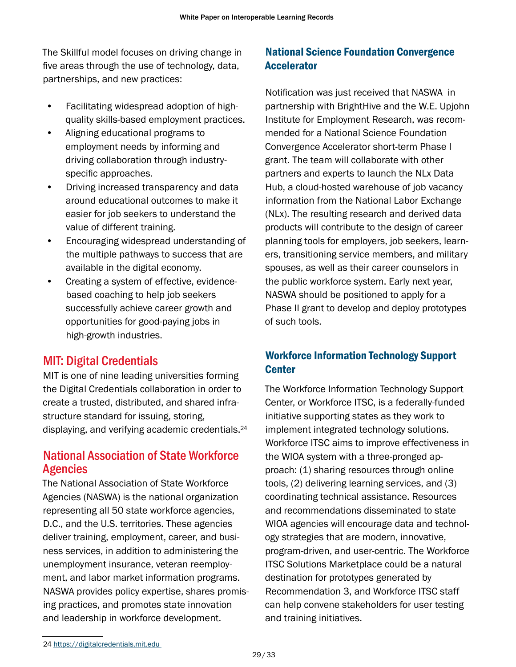<span id="page-29-0"></span>The Skillful model focuses on driving change in five areas through the use of technology, data, partnerships, and new practices:

- Facilitating widespread adoption of highquality skills-based employment practices.
- Aligning educational programs to employment needs by informing and driving collaboration through industryspecific approaches.
- Driving increased transparency and data around educational outcomes to make it easier for job seekers to understand the value of different training.
- Encouraging widespread understanding of the multiple pathways to success that are available in the digital economy.
- Creating a system of effective, evidencebased coaching to help job seekers successfully achieve career growth and opportunities for good-paying jobs in high-growth industries.

# MIT: Digital Credentials

MIT is one of nine leading universities forming the Digital Credentials collaboration in order to create a trusted, distributed, and shared infrastructure standard for issuing, storing, displaying, and verifying academic credentials. 24

# National Association of State Workforce Agencies

The National Association of State Workforce Agencies (NASWA) is the national organization representing all 50 state workforce agencies, D.C., and the U.S. territories. These agencies deliver training, employment, career, and business services, in addition to administering the unemployment insurance, veteran reemployment, and labor market information programs. NASWA provides policy expertise, shares promising practices, and promotes state innovation and leadership in workforce development.

# National Science Foundation Convergence Accelerator

Notification was just received that NASWA in partnership with BrightHive and the W.E. Upjohn Institute for Employment Research, was recommended for a National Science Foundation Convergence Accelerator short-term Phase I grant. The team will collaborate with other partners and experts to launch the NLx Data Hub, a cloud-hosted warehouse of job vacancy information from the National Labor Exchange (NLx). The resulting research and derived data products will contribute to the design of career planning tools for employers, job seekers, learners, transitioning service members, and military spouses, as well as their career counselors in the public workforce system. Early next year, NASWA should be positioned to apply for a Phase II grant to develop and deploy prototypes of such tools.

## Workforce Information Technology Support **Center**

The Workforce Information Technology Support Center, or Workforce ITSC, is a federally-funded initiative supporting states as they work to implement integrated technology solutions. Workforce ITSC aims to improve effectiveness in the WIOA system with a three-pronged approach: (1) sharing resources through online tools, (2) delivering learning services, and (3) coordinating technical assistance. Resources and recommendations disseminated to state WIOA agencies will encourage data and technology strategies that are modern, innovative, program-driven, and user-centric. The Workforce ITSC Solutions Marketplace could be a natural destination for prototypes generated by Recommendation 3, and Workforce ITSC staff can help convene stakeholders for user testing and training initiatives.

<sup>24</sup> <https://digitalcredentials.mit.edu>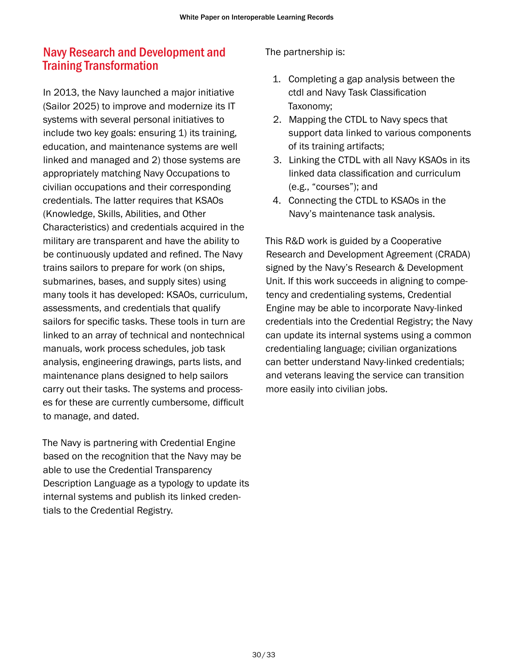# <span id="page-30-0"></span>Navy Research and Development and Training Transformation

In 2013, the Navy launched a major initiative (Sailor 2025) to improve and modernize its IT systems with several personal initiatives to include two key goals: ensuring 1) its training, education, and maintenance systems are well linked and managed and 2) those systems are appropriately matching Navy Occupations to civilian occupations and their corresponding credentials. The latter requires that KSAOs (Knowledge, Skills, Abilities, and Other Characteristics) and credentials acquired in the military are transparent and have the ability to be continuously updated and refined. The Navy trains sailors to prepare for work (on ships, submarines, bases, and supply sites) using many tools it has developed: KSAOs, curriculum, assessments, and credentials that qualify sailors for specific tasks. These tools in turn are linked to an array of technical and nontechnical manuals, work process schedules, job task analysis, engineering drawings, parts lists, and maintenance plans designed to help sailors carry out their tasks. The systems and processes for these are currently cumbersome, difficult to manage, and dated.

The Navy is partnering with Credential Engine based on the recognition that the Navy may be able to use the Credential Transparency Description Language as a typology to update its internal systems and publish its linked credentials to the Credential Registry.

#### The partnership is:

- 1. Completing a gap analysis between the ctdl and Navy Task Classification Taxonomy;
- 2. Mapping the CTDL to Navy specs that support data linked to various components of its training artifacts;
- 3. Linking the CTDL with all Navy KSAOs in its linked data classification and curriculum (e.g., "courses"); and
- 4. Connecting the CTDL to KSAOs in the Navy's maintenance task analysis.

This R&D work is guided by a Cooperative Research and Development Agreement (CRADA) signed by the Navy's Research & Development Unit. If this work succeeds in aligning to competency and credentialing systems, Credential Engine may be able to incorporate Navy-linked credentials into the Credential Registry; the Navy can update its internal systems using a common credentialing language; civilian organizations can better understand Navy-linked credentials; and veterans leaving the service can transition more easily into civilian jobs.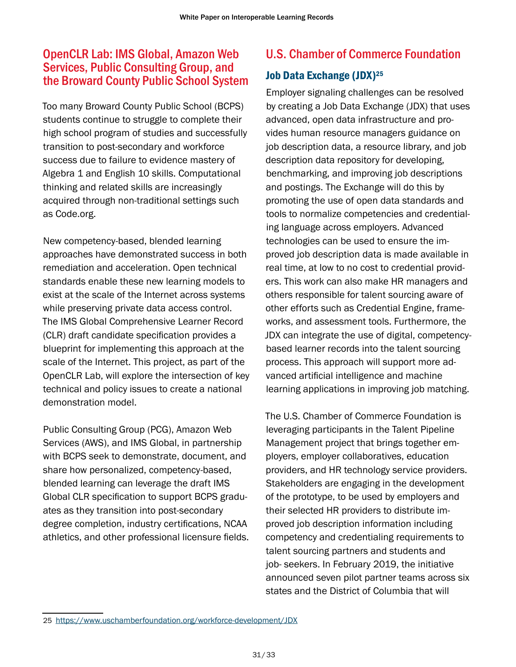# <span id="page-31-0"></span>OpenCLR Lab: IMS Global, Amazon Web Services, Public Consulting Group, and the Broward County Public School System

Too many Broward County Public School (BCPS) students continue to struggle to complete their high school program of studies and successfully transition to post-secondary and workforce success due to failure to evidence mastery of Algebra 1 and English 10 skills. Computational thinking and related skills are increasingly acquired through non-traditional settings such as Code.org.

New competency-based, blended learning approaches have demonstrated success in both remediation and acceleration. Open technical standards enable these new learning models to exist at the scale of the Internet across systems while preserving private data access control. The IMS Global Comprehensive Learner Record (CLR) draft candidate specification provides a blueprint for implementing this approach at the scale of the Internet. This project, as part of the OpenCLR Lab, will explore the intersection of key technical and policy issues to create a national demonstration model.

Public Consulting Group (PCG), Amazon Web Services (AWS), and IMS Global, in partnership with BCPS seek to demonstrate, document, and share how personalized, competency-based, blended learning can leverage the draft IMS Global CLR specification to support BCPS graduates as they transition into post-secondary degree completion, industry certifications, NCAA athletics, and other professional licensure fields.

# U.S. Chamber of Commerce Foundation

### Job Data Exchange (JDX)<sup>25</sup>

Employer signaling challenges can be resolved by creating a Job Data Exchange (JDX) that uses advanced, open data infrastructure and provides human resource managers guidance on job description data, a resource library, and job description data repository for developing, benchmarking, and improving job descriptions and postings. The Exchange will do this by promoting the use of open data standards and tools to normalize competencies and credentialing language across employers. Advanced technologies can be used to ensure the improved job description data is made available in real time, at low to no cost to credential providers. This work can also make HR managers and others responsible for talent sourcing aware of other efforts such as Credential Engine, frameworks, and assessment tools. Furthermore, the JDX can integrate the use of digital, competencybased learner records into the talent sourcing process. This approach will support more advanced artificial intelligence and machine learning applications in improving job matching.

The U.S. Chamber of Commerce Foundation is leveraging participants in the Talent Pipeline Management project that brings together employers, employer collaboratives, education providers, and HR technology service providers. Stakeholders are engaging in the development of the prototype, to be used by employers and their selected HR providers to distribute improved job description information including competency and credentialing requirements to talent sourcing partners and students and job- seekers. In February 2019, the initiative announced seven pilot partner teams across six states and the District of Columbia that will

<sup>25</sup> <https://www.uschamberfoundation.org/workforce-development/JDX>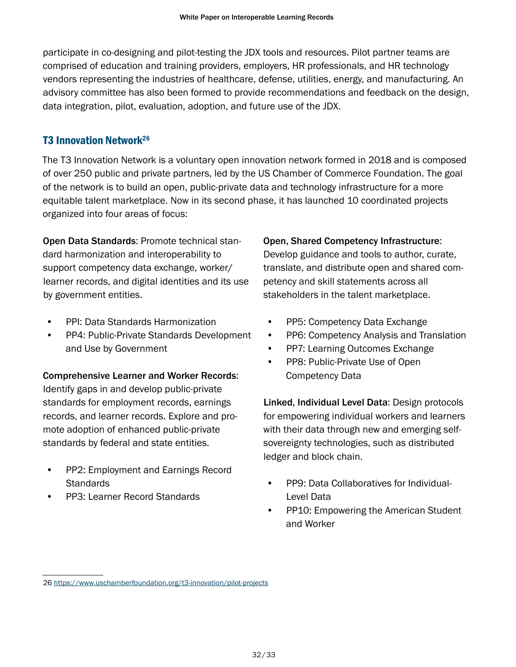<span id="page-32-0"></span>participate in co-designing and pilot-testing the JDX tools and resources. Pilot partner teams are comprised of education and training providers, employers, HR professionals, and HR technology vendors representing the industries of healthcare, defense, utilities, energy, and manufacturing. An advisory committee has also been formed to provide recommendations and feedback on the design, data integration, pilot, evaluation, adoption, and future use of the JDX.

#### T3 Innovation Network26

The T3 Innovation Network is a voluntary open innovation network formed in 2018 and is composed of over 250 public and private partners, led by the US Chamber of Commerce Foundation. The goal of the network is to build an open, public-private data and technology infrastructure for a more equitable talent marketplace. Now in its second phase, it has launched 10 coordinated projects organized into four areas of focus:

Open Data Standards: Promote technical standard harmonization and interoperability to support competency data exchange, worker/ learner records, and digital identities and its use by government entities.

- PPI: Data Standards Harmonization
- PP4: Public-Private Standards Development and Use by Government

Comprehensive Learner and Worker Records: Identify gaps in and develop public-private standards for employment records, earnings records, and learner records. Explore and promote adoption of enhanced public-private standards by federal and state entities.

- PP2: Employment and Earnings Record **Standards**
- PP3: Learner Record Standards

#### Open, Shared Competency Infrastructure:

Develop guidance and tools to author, curate, translate, and distribute open and shared competency and skill statements across all stakeholders in the talent marketplace.

- PP5: Competency Data Exchange
- PP6: Competency Analysis and Translation
- PP7: Learning Outcomes Exchange
- PP8: Public-Private Use of Open Competency Data

Linked, Individual Level Data: Design protocols for empowering individual workers and learners with their data through new and emerging selfsovereignty technologies, such as distributed ledger and block chain.

- PP9: Data Collaboratives for Individual-Level Data
- PP10: Empowering the American Student and Worker

<sup>26</sup> <https://www.uschamberfoundation.org/t3-innovation/pilot-projects>